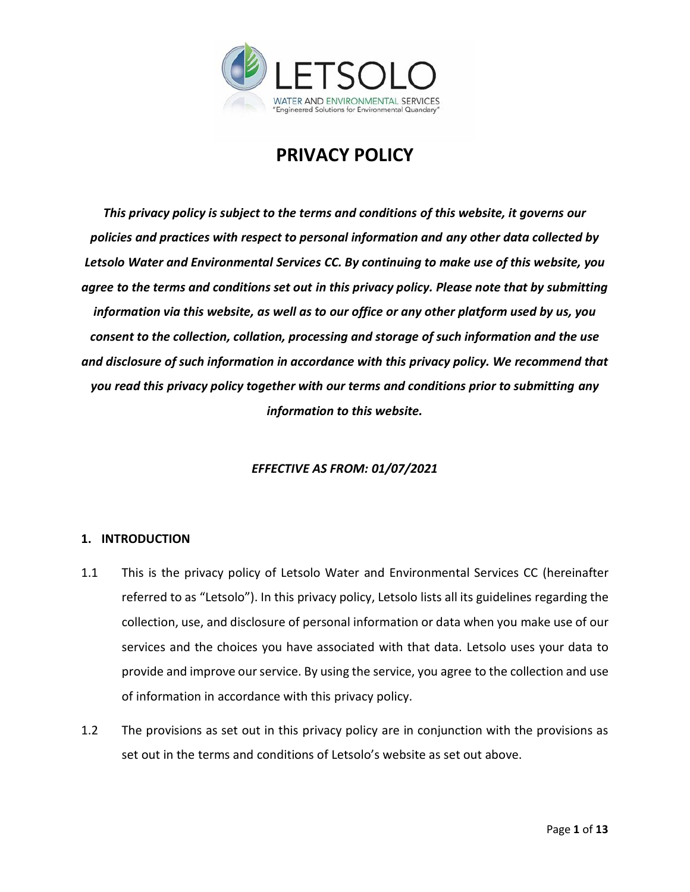

# **PRIVACY POLICY**

*This privacy policy is subject to the terms and conditions of this website, it governs our policies and practices with respect to personal information and any other data collected by Letsolo Water and Environmental Services CC. By continuing to make use of this website, you agree to the terms and conditions set out in this privacy policy. Please note that by submitting information via this website, as well as to our office or any other platform used by us, you consent to the collection, collation, processing and storage of such information and the use and disclosure of such information in accordance with this privacy policy. We recommend that you read this privacy policy together with our terms and conditions prior to submitting any information to this website.*

# *EFFECTIVE AS FROM: 01/07/2021*

# **1. INTRODUCTION**

- 1.1 This is the privacy policy of Letsolo Water and Environmental Services CC (hereinafter referred to as "Letsolo"). In this privacy policy, Letsolo lists all its guidelines regarding the collection, use, and disclosure of personal information or data when you make use of our services and the choices you have associated with that data. Letsolo uses your data to provide and improve our service. By using the service, you agree to the collection and use of information in accordance with this privacy policy.
- 1.2 The provisions as set out in this privacy policy are in conjunction with the provisions as set out in the terms and conditions of Letsolo's website as set out above.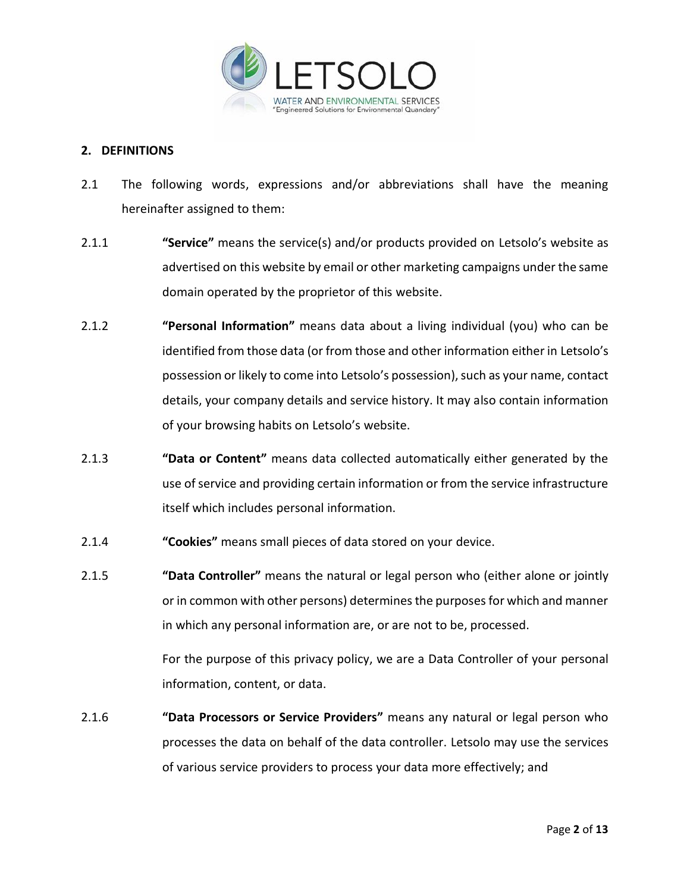

## **2. DEFINITIONS**

- 2.1 The following words, expressions and/or abbreviations shall have the meaning hereinafter assigned to them:
- 2.1.1 **"Service"** means the service(s) and/or products provided on Letsolo's website as advertised on this website by email or other marketing campaigns under the same domain operated by the proprietor of this website.
- 2.1.2 **"Personal Information"** means data about a living individual (you) who can be identified from those data (or from those and other information either in Letsolo's possession or likely to come into Letsolo's possession), such as your name, contact details, your company details and service history. It may also contain information of your browsing habits on Letsolo's website.
- 2.1.3 **"Data or Content"** means data collected automatically either generated by the use of service and providing certain information or from the service infrastructure itself which includes personal information.
- 2.1.4 **"Cookies"** means small pieces of data stored on your device.
- 2.1.5 **"Data Controller"** means the natural or legal person who (either alone or jointly or in common with other persons) determines the purposes for which and manner in which any personal information are, or are not to be, processed.

For the purpose of this privacy policy, we are a Data Controller of your personal information, content, or data.

2.1.6 **"Data Processors or Service Providers"** means any natural or legal person who processes the data on behalf of the data controller. Letsolo may use the services of various service providers to process your data more effectively; and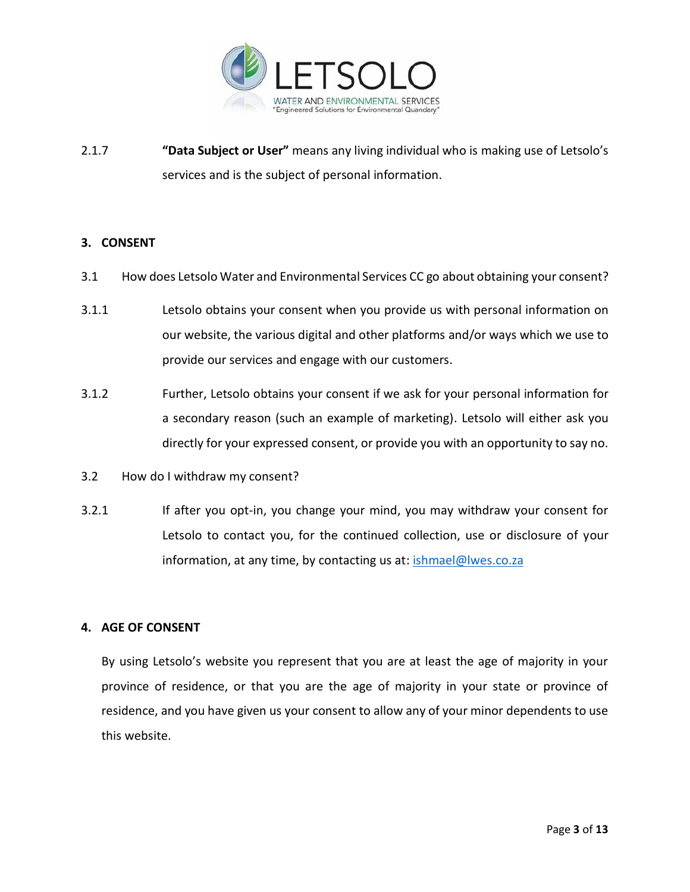

2.1.7 **"Data Subject or User"** means any living individual who is making use of Letsolo's services and is the subject of personal information.

## **3. CONSENT**

- 3.1 How does Letsolo Water and Environmental Services CC go about obtaining your consent?
- 3.1.1 Letsolo obtains your consent when you provide us with personal information on our website, the various digital and other platforms and/or ways which we use to provide our services and engage with our customers.
- 3.1.2 Further, Letsolo obtains your consent if we ask for your personal information for a secondary reason (such an example of marketing). Letsolo will either ask you directly for your expressed consent, or provide you with an opportunity to say no.
- 3.2 How do I withdraw my consent?
- 3.2.1 If after you opt-in, you change your mind, you may withdraw your consent for Letsolo to contact you, for the continued collection, use or disclosure of your information, at any time, by contacting us at: [ishmael@lwes.co.za](mailto:ishmael@lwes.co.za)

# **4. AGE OF CONSENT**

By using Letsolo's website you represent that you are at least the age of majority in your province of residence, or that you are the age of majority in your state or province of residence, and you have given us your consent to allow any of your minor dependents to use this website.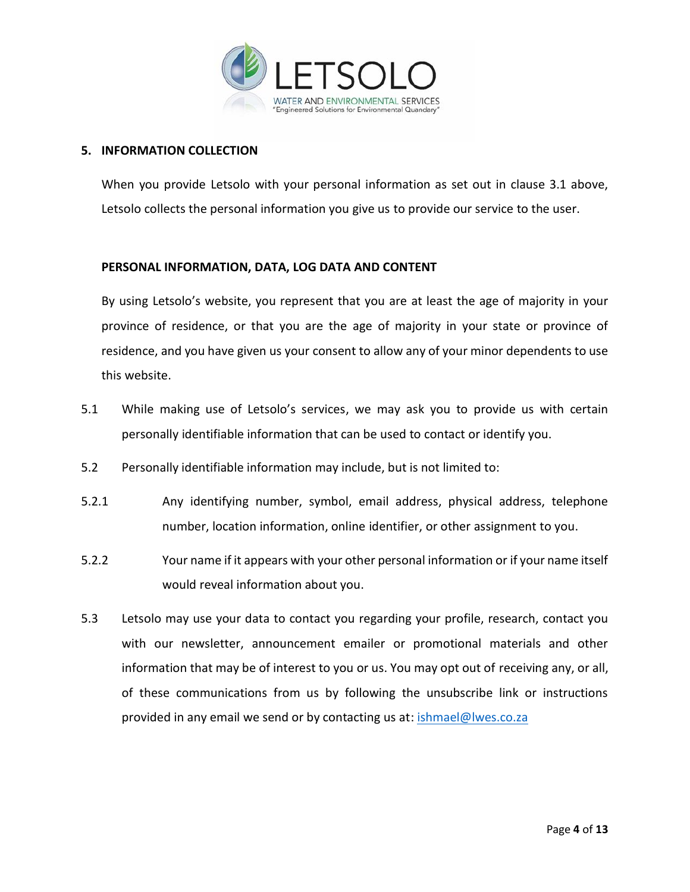

# **5. INFORMATION COLLECTION**

When you provide Letsolo with your personal information as set out in clause 3.1 above, Letsolo collects the personal information you give us to provide our service to the user.

## **PERSONAL INFORMATION, DATA, LOG DATA AND CONTENT**

By using Letsolo's website, you represent that you are at least the age of majority in your province of residence, or that you are the age of majority in your state or province of residence, and you have given us your consent to allow any of your minor dependents to use this website.

- 5.1 While making use of Letsolo's services, we may ask you to provide us with certain personally identifiable information that can be used to contact or identify you.
- 5.2 Personally identifiable information may include, but is not limited to:
- 5.2.1 Any identifying number, symbol, email address, physical address, telephone number, location information, online identifier, or other assignment to you.
- 5.2.2 Your name if it appears with your other personal information or if your name itself would reveal information about you.
- 5.3 Letsolo may use your data to contact you regarding your profile, research, contact you with our newsletter, announcement emailer or promotional materials and other information that may be of interest to you or us. You may opt out of receiving any, or all, of these communications from us by following the unsubscribe link or instructions provided in any email we send or by contacting us at: [ishmael@lwes.co.za](mailto:ishmael@lwes.co.za)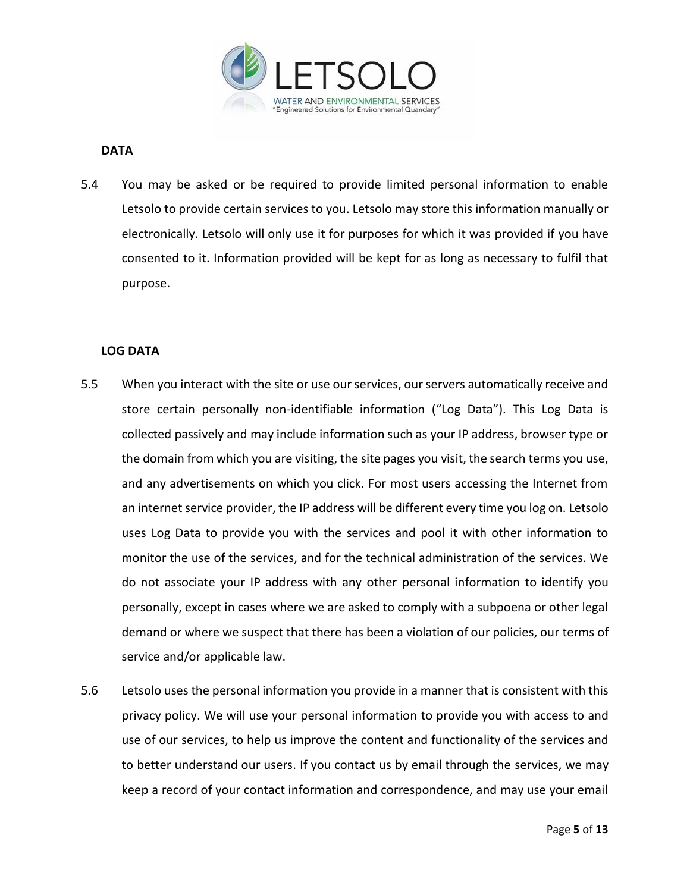

## **DATA**

5.4 You may be asked or be required to provide limited personal information to enable Letsolo to provide certain services to you. Letsolo may store this information manually or electronically. Letsolo will only use it for purposes for which it was provided if you have consented to it. Information provided will be kept for as long as necessary to fulfil that purpose.

## **LOG DATA**

- 5.5 When you interact with the site or use our services, our servers automatically receive and store certain personally non-identifiable information ("Log Data"). This Log Data is collected passively and may include information such as your IP address, browser type or the domain from which you are visiting, the site pages you visit, the search terms you use, and any advertisements on which you click. For most users accessing the Internet from an internet service provider, the IP address will be different every time you log on. Letsolo uses Log Data to provide you with the services and pool it with other information to monitor the use of the services, and for the technical administration of the services. We do not associate your IP address with any other personal information to identify you personally, except in cases where we are asked to comply with a subpoena or other legal demand or where we suspect that there has been a violation of our policies, our terms of service and/or applicable law.
- 5.6 Letsolo uses the personal information you provide in a manner that is consistent with this privacy policy. We will use your personal information to provide you with access to and use of our services, to help us improve the content and functionality of the services and to better understand our users. If you contact us by email through the services, we may keep a record of your contact information and correspondence, and may use your email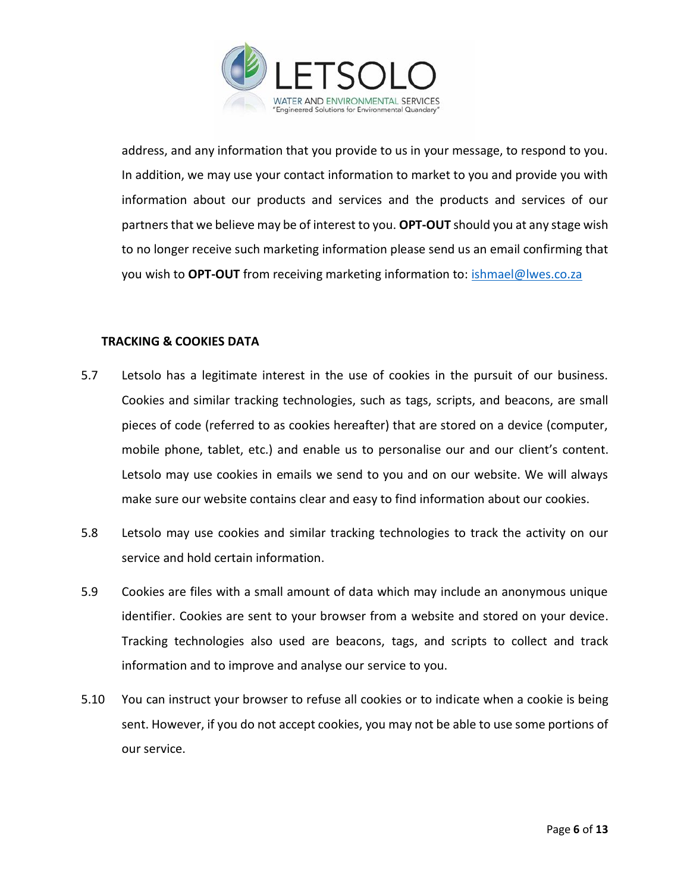

address, and any information that you provide to us in your message, to respond to you. In addition, we may use your contact information to market to you and provide you with information about our products and services and the products and services of our partners that we believe may be of interest to you. **OPT-OUT** should you at any stage wish to no longer receive such marketing information please send us an email confirming that you wish to **OPT-OUT** from receiving marketing information to: [ishmael@lwes.co.za](mailto:ishmael@lwes.co.za)

## **TRACKING & COOKIES DATA**

- 5.7 Letsolo has a legitimate interest in the use of cookies in the pursuit of our business. Cookies and similar tracking technologies, such as tags, scripts, and beacons, are small pieces of code (referred to as cookies hereafter) that are stored on a device (computer, mobile phone, tablet, etc.) and enable us to personalise our and our client's content. Letsolo may use cookies in emails we send to you and on our website. We will always make sure our website contains clear and easy to find information about our cookies.
- 5.8 Letsolo may use cookies and similar tracking technologies to track the activity on our service and hold certain information.
- 5.9 Cookies are files with a small amount of data which may include an anonymous unique identifier. Cookies are sent to your browser from a website and stored on your device. Tracking technologies also used are beacons, tags, and scripts to collect and track information and to improve and analyse our service to you.
- 5.10 You can instruct your browser to refuse all cookies or to indicate when a cookie is being sent. However, if you do not accept cookies, you may not be able to use some portions of our service.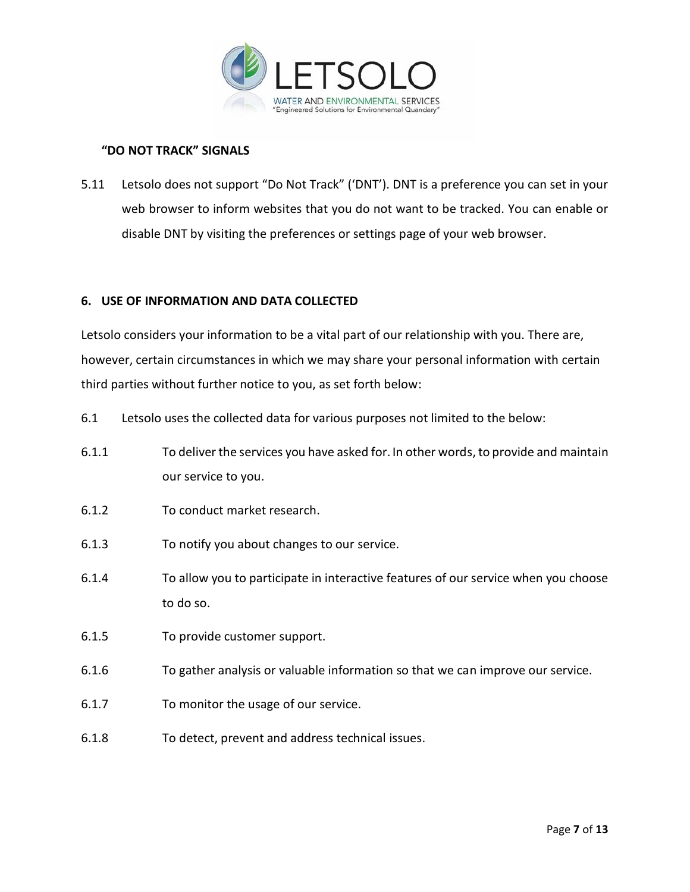

# **"DO NOT TRACK" SIGNALS**

5.11 Letsolo does not support "Do Not Track" ('DNT'). DNT is a preference you can set in your web browser to inform websites that you do not want to be tracked. You can enable or disable DNT by visiting the preferences or settings page of your web browser.

## **6. USE OF INFORMATION AND DATA COLLECTED**

Letsolo considers your information to be a vital part of our relationship with you. There are, however, certain circumstances in which we may share your personal information with certain third parties without further notice to you, as set forth below:

- 6.1 Letsolo uses the collected data for various purposes not limited to the below:
- 6.1.1 To deliver the services you have asked for. In other words,to provide and maintain our service to you.
- 6.1.2 To conduct market research.
- 6.1.3 To notify you about changes to our service.
- 6.1.4 To allow you to participate in interactive features of our service when you choose to do so.
- 6.1.5 To provide customer support.
- 6.1.6 To gather analysis or valuable information so that we can improve our service.
- 6.1.7 To monitor the usage of our service.
- 6.1.8 To detect, prevent and address technical issues.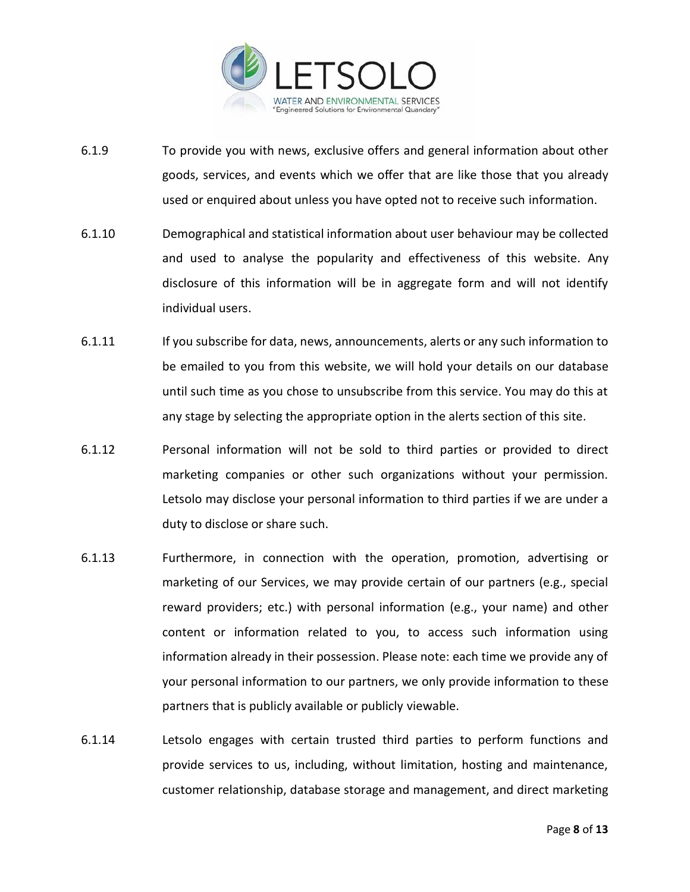

- 6.1.9 To provide you with news, exclusive offers and general information about other goods, services, and events which we offer that are like those that you already used or enquired about unless you have opted not to receive such information.
- 6.1.10 Demographical and statistical information about user behaviour may be collected and used to analyse the popularity and effectiveness of this website. Any disclosure of this information will be in aggregate form and will not identify individual users.
- 6.1.11 If you subscribe for data, news, announcements, alerts or any such information to be emailed to you from this website, we will hold your details on our database until such time as you chose to unsubscribe from this service. You may do this at any stage by selecting the appropriate option in the alerts section of this site.
- 6.1.12 Personal information will not be sold to third parties or provided to direct marketing companies or other such organizations without your permission. Letsolo may disclose your personal information to third parties if we are under a duty to disclose or share such.
- 6.1.13 Furthermore, in connection with the operation, promotion, advertising or marketing of our Services, we may provide certain of our partners (e.g., special reward providers; etc.) with personal information (e.g., your name) and other content or information related to you, to access such information using information already in their possession. Please note: each time we provide any of your personal information to our partners, we only provide information to these partners that is publicly available or publicly viewable.
- 6.1.14 Letsolo engages with certain trusted third parties to perform functions and provide services to us, including, without limitation, hosting and maintenance, customer relationship, database storage and management, and direct marketing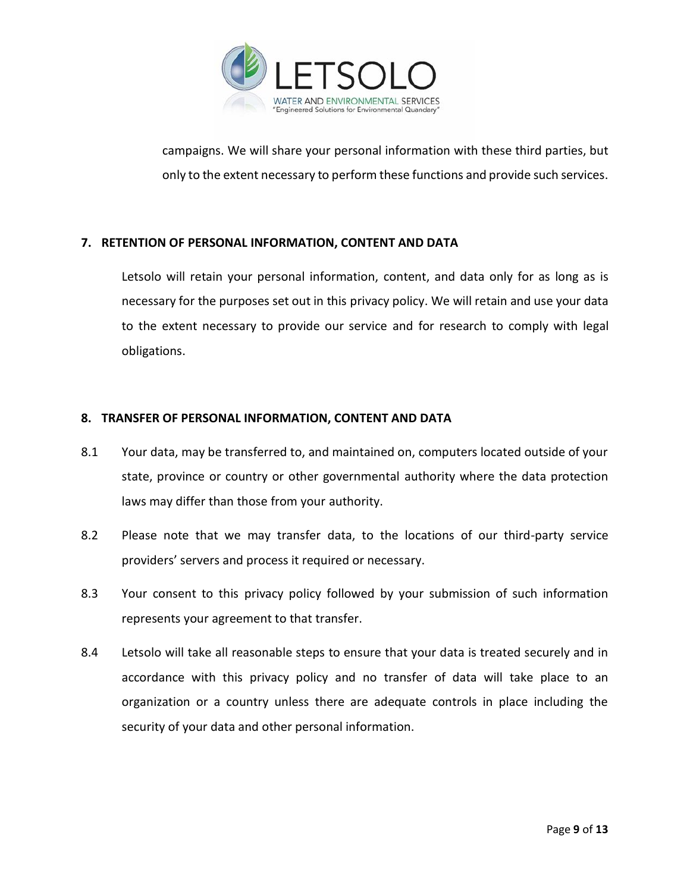

campaigns. We will share your personal information with these third parties, but only to the extent necessary to perform these functions and provide such services.

# **7. RETENTION OF PERSONAL INFORMATION, CONTENT AND DATA**

Letsolo will retain your personal information, content, and data only for as long as is necessary for the purposes set out in this privacy policy. We will retain and use your data to the extent necessary to provide our service and for research to comply with legal obligations.

# **8. TRANSFER OF PERSONAL INFORMATION, CONTENT AND DATA**

- 8.1 Your data, may be transferred to, and maintained on, computers located outside of your state, province or country or other governmental authority where the data protection laws may differ than those from your authority.
- 8.2 Please note that we may transfer data, to the locations of our third-party service providers' servers and process it required or necessary.
- 8.3 Your consent to this privacy policy followed by your submission of such information represents your agreement to that transfer.
- 8.4 Letsolo will take all reasonable steps to ensure that your data is treated securely and in accordance with this privacy policy and no transfer of data will take place to an organization or a country unless there are adequate controls in place including the security of your data and other personal information.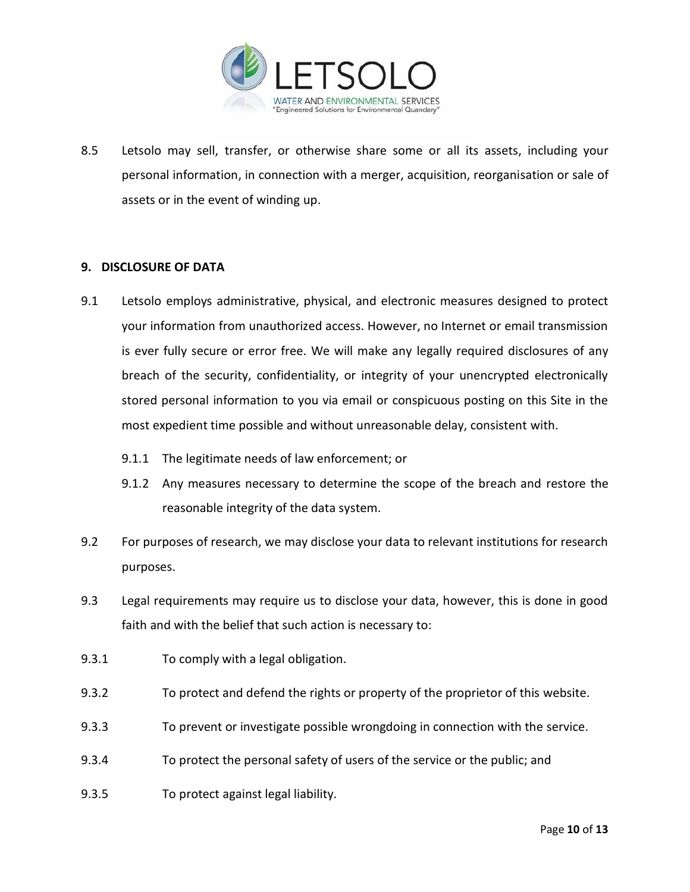

8.5 Letsolo may sell, transfer, or otherwise share some or all its assets, including your personal information, in connection with a merger, acquisition, reorganisation or sale of assets or in the event of winding up.

## **9. DISCLOSURE OF DATA**

- 9.1 Letsolo employs administrative, physical, and electronic measures designed to protect your information from unauthorized access. However, no Internet or email transmission is ever fully secure or error free. We will make any legally required disclosures of any breach of the security, confidentiality, or integrity of your unencrypted electronically stored personal information to you via email or conspicuous posting on this Site in the most expedient time possible and without unreasonable delay, consistent with.
	- 9.1.1 The legitimate needs of law enforcement; or
	- 9.1.2 Any measures necessary to determine the scope of the breach and restore the reasonable integrity of the data system.
- 9.2 For purposes of research, we may disclose your data to relevant institutions for research purposes.
- 9.3 Legal requirements may require us to disclose your data, however, this is done in good faith and with the belief that such action is necessary to:
- 9.3.1 To comply with a legal obligation.
- 9.3.2 To protect and defend the rights or property of the proprietor of this website.
- 9.3.3 To prevent or investigate possible wrongdoing in connection with the service.
- 9.3.4 To protect the personal safety of users of the service or the public; and
- 9.3.5 To protect against legal liability.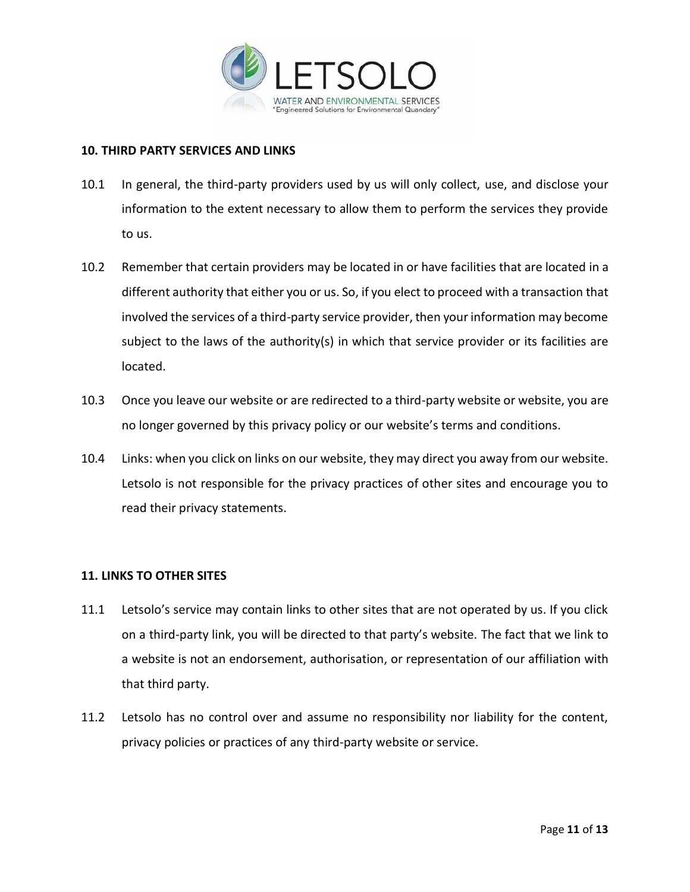

#### **10. THIRD PARTY SERVICES AND LINKS**

- 10.1 In general, the third-party providers used by us will only collect, use, and disclose your information to the extent necessary to allow them to perform the services they provide to us.
- 10.2 Remember that certain providers may be located in or have facilities that are located in a different authority that either you or us. So, if you elect to proceed with a transaction that involved the services of a third-party service provider, then your information may become subject to the laws of the authority(s) in which that service provider or its facilities are located.
- 10.3 Once you leave our website or are redirected to a third-party website or website, you are no longer governed by this privacy policy or our website's terms and conditions.
- 10.4 Links: when you click on links on our website, they may direct you away from our website. Letsolo is not responsible for the privacy practices of other sites and encourage you to read their privacy statements.

# **11. LINKS TO OTHER SITES**

- 11.1 Letsolo's service may contain links to other sites that are not operated by us. If you click on a third-party link, you will be directed to that party's website. The fact that we link to a website is not an endorsement, authorisation, or representation of our affiliation with that third party.
- 11.2 Letsolo has no control over and assume no responsibility nor liability for the content, privacy policies or practices of any third-party website or service.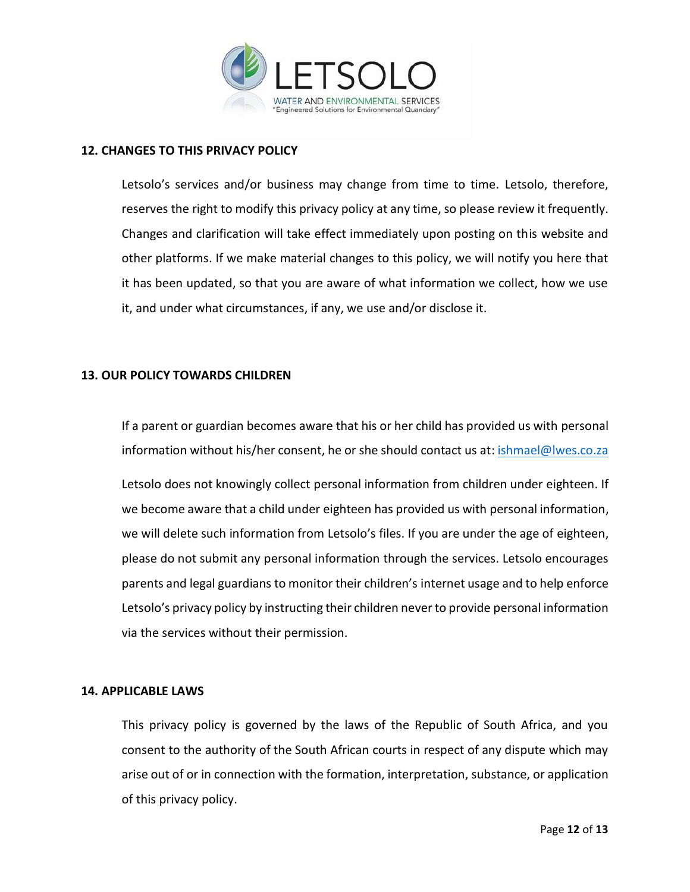

## **12. CHANGES TO THIS PRIVACY POLICY**

Letsolo's services and/or business may change from time to time. Letsolo, therefore, reserves the right to modify this privacy policy at any time, so please review it frequently. Changes and clarification will take effect immediately upon posting on this website and other platforms. If we make material changes to this policy, we will notify you here that it has been updated, so that you are aware of what information we collect, how we use it, and under what circumstances, if any, we use and/or disclose it.

## **13. OUR POLICY TOWARDS CHILDREN**

If a parent or guardian becomes aware that his or her child has provided us with personal information without his/her consent, he or she should contact us at: **ishmael@lwes.co.za** 

Letsolo does not knowingly collect personal information from children under eighteen. If we become aware that a child under eighteen has provided us with personal information, we will delete such information from Letsolo's files. If you are under the age of eighteen, please do not submit any personal information through the services. Letsolo encourages parents and legal guardians to monitor their children's internet usage and to help enforce Letsolo's privacy policy by instructing their children never to provide personal information via the services without their permission.

## **14. APPLICABLE LAWS**

This privacy policy is governed by the laws of the Republic of South Africa, and you consent to the authority of the South African courts in respect of any dispute which may arise out of or in connection with the formation, interpretation, substance, or application of this privacy policy.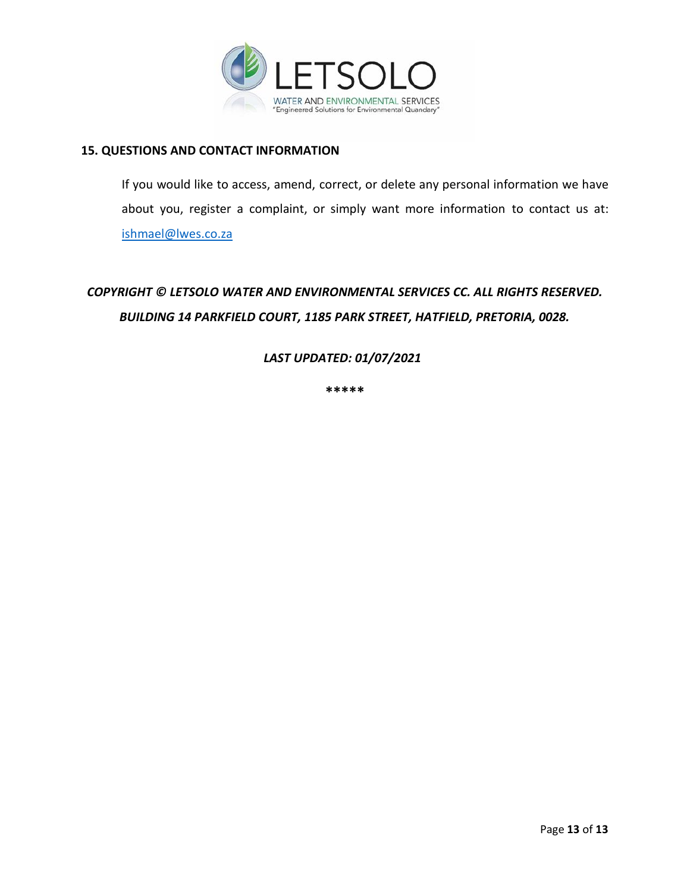

## **15. QUESTIONS AND CONTACT INFORMATION**

If you would like to access, amend, correct, or delete any personal information we have about you, register a complaint, or simply want more information to contact us at: [ishmael@lwes.co.za](mailto:ishmael@lwes.co.za)

# *COPYRIGHT © LETSOLO WATER AND ENVIRONMENTAL SERVICES CC. ALL RIGHTS RESERVED. BUILDING 14 PARKFIELD COURT, 1185 PARK STREET, HATFIELD, PRETORIA, 0028.*

# *LAST UPDATED: 01/07/2021*

**\*\*\*\*\***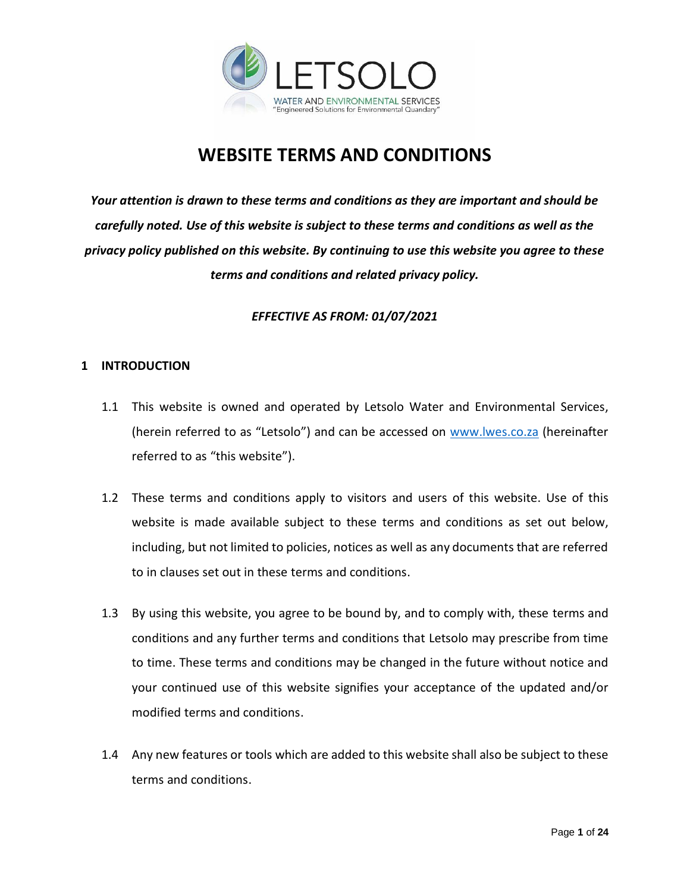

# **WEBSITE TERMS AND CONDITIONS**

*Your attention is drawn to these terms and conditions as they are important and should be carefully noted. Use of this website is subject to these terms and conditions as well as the privacy policy published on this website. By continuing to use this website you agree to these terms and conditions and related privacy policy.*

# *EFFECTIVE AS FROM: 01/07/2021*

# **1 INTRODUCTION**

- 1.1 This website is owned and operated by Letsolo Water and Environmental Services, (herein referred to as "Letsolo") and can be accessed on [www.lwes.co.za](http://www.lwes.co.za/) (hereinafter referred to as "this website").
- 1.2 These terms and conditions apply to visitors and users of this website. Use of this website is made available subject to these terms and conditions as set out below, including, but not limited to policies, notices as well as any documents that are referred to in clauses set out in these terms and conditions.
- 1.3 By using this website, you agree to be bound by, and to comply with, these terms and conditions and any further terms and conditions that Letsolo may prescribe from time to time. These terms and conditions may be changed in the future without notice and your continued use of this website signifies your acceptance of the updated and/or modified terms and conditions.
- 1.4 Any new features or tools which are added to this website shall also be subject to these terms and conditions.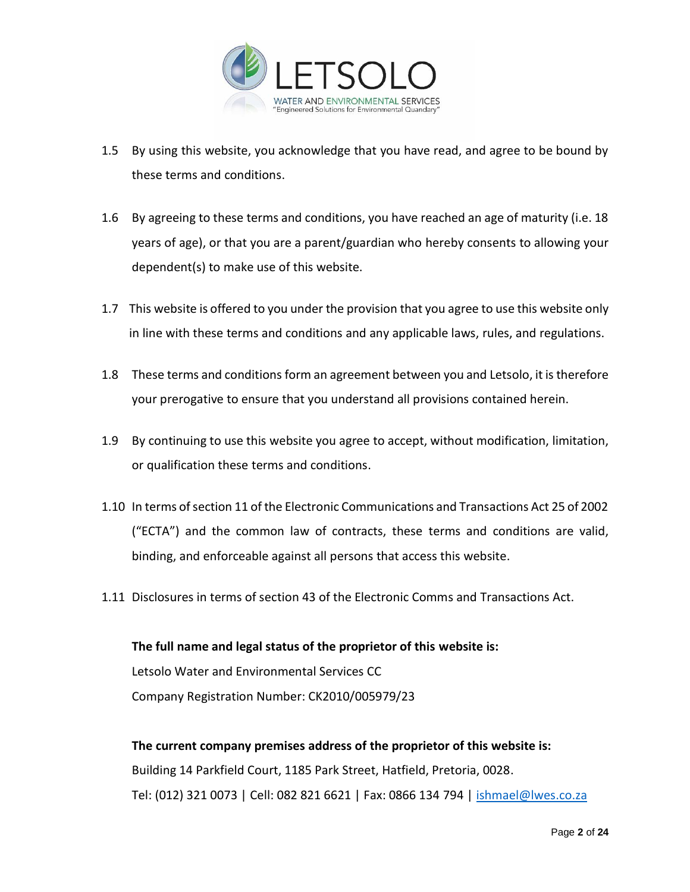

- 1.5 By using this website, you acknowledge that you have read, and agree to be bound by these terms and conditions.
- 1.6 By agreeing to these terms and conditions, you have reached an age of maturity (i.e. 18 years of age), or that you are a parent/guardian who hereby consents to allowing your dependent(s) to make use of this website.
- 1.7 This website is offered to you under the provision that you agree to use this website only in line with these terms and conditions and any applicable laws, rules, and regulations.
- 1.8 These terms and conditions form an agreement between you and Letsolo, it is therefore your prerogative to ensure that you understand all provisions contained herein.
- 1.9 By continuing to use this website you agree to accept, without modification, limitation, or qualification these terms and conditions.
- 1.10 In terms of section 11 of the Electronic Communications and Transactions Act 25 of 2002 ("ECTA") and the common law of contracts, these terms and conditions are valid, binding, and enforceable against all persons that access this website.
- 1.11 Disclosures in terms of section 43 of the Electronic Comms and Transactions Act.

**The full name and legal status of the proprietor of this website is:**  Letsolo Water and Environmental Services CC Company Registration Number: CK2010/005979/23

**The current company premises address of the proprietor of this website is:** Building 14 Parkfield Court, 1185 Park Street, Hatfield, Pretoria, 0028. Tel: (012) 321 0073 | Cell: 082 821 6621 | Fax: 0866 134 794 | [ishmael@lwes.co.za](mailto:ishmael@lwes.co.za)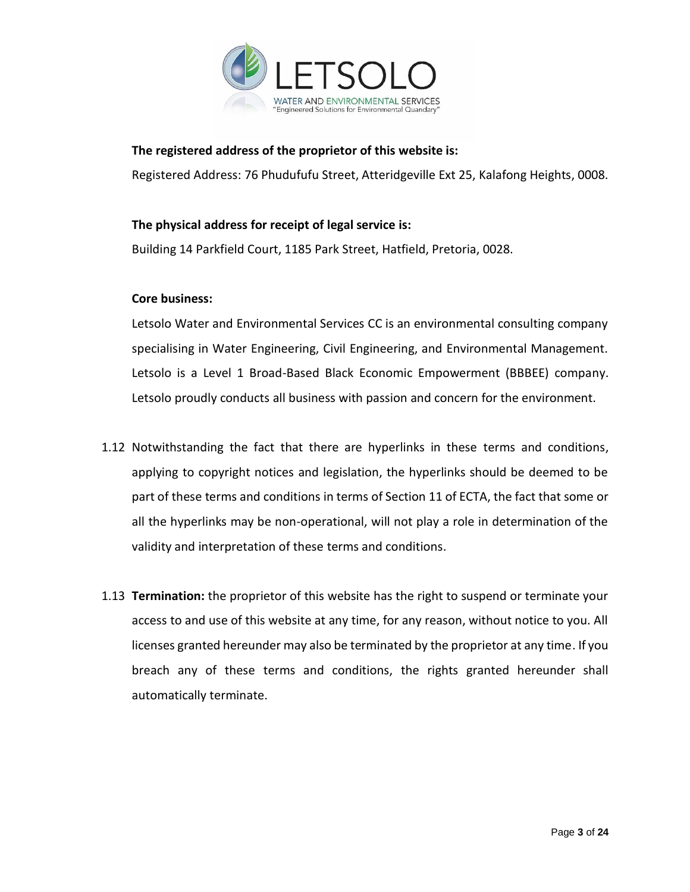

## **The registered address of the proprietor of this website is:**

Registered Address: 76 Phudufufu Street, Atteridgeville Ext 25, Kalafong Heights, 0008.

## **The physical address for receipt of legal service is:**

Building 14 Parkfield Court, 1185 Park Street, Hatfield, Pretoria, 0028.

## **Core business:**

Letsolo Water and Environmental Services CC is an environmental consulting company specialising in Water Engineering, Civil Engineering, and Environmental Management. Letsolo is a Level 1 Broad-Based Black Economic Empowerment (BBBEE) company. Letsolo proudly conducts all business with passion and concern for the environment.

- 1.12 Notwithstanding the fact that there are hyperlinks in these terms and conditions, applying to copyright notices and legislation, the hyperlinks should be deemed to be part of these terms and conditions in terms of Section 11 of ECTA, the fact that some or all the hyperlinks may be non-operational, will not play a role in determination of the validity and interpretation of these terms and conditions.
- 1.13 **Termination:** the proprietor of this website has the right to suspend or terminate your access to and use of this website at any time, for any reason, without notice to you. All licenses granted hereunder may also be terminated by the proprietor at any time. If you breach any of these terms and conditions, the rights granted hereunder shall automatically terminate.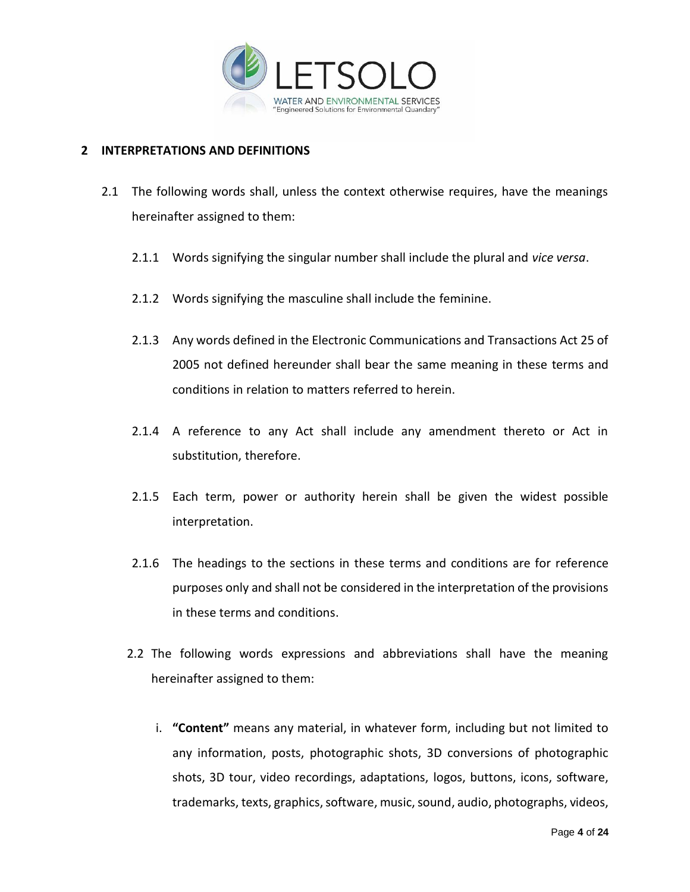

# **2 INTERPRETATIONS AND DEFINITIONS**

- 2.1 The following words shall, unless the context otherwise requires, have the meanings hereinafter assigned to them:
	- 2.1.1 Words signifying the singular number shall include the plural and *vice versa*.
	- 2.1.2 Words signifying the masculine shall include the feminine.
	- 2.1.3 Any words defined in the Electronic Communications and Transactions Act 25 of 2005 not defined hereunder shall bear the same meaning in these terms and conditions in relation to matters referred to herein.
	- 2.1.4 A reference to any Act shall include any amendment thereto or Act in substitution, therefore.
	- 2.1.5 Each term, power or authority herein shall be given the widest possible interpretation.
	- 2.1.6 The headings to the sections in these terms and conditions are for reference purposes only and shall not be considered in the interpretation of the provisions in these terms and conditions.
	- 2.2 The following words expressions and abbreviations shall have the meaning hereinafter assigned to them:
		- i. **"Content"** means any material, in whatever form, including but not limited to any information, posts, photographic shots, 3D conversions of photographic shots, 3D tour, video recordings, adaptations, logos, buttons, icons, software, trademarks, texts, graphics, software, music, sound, audio, photographs, videos,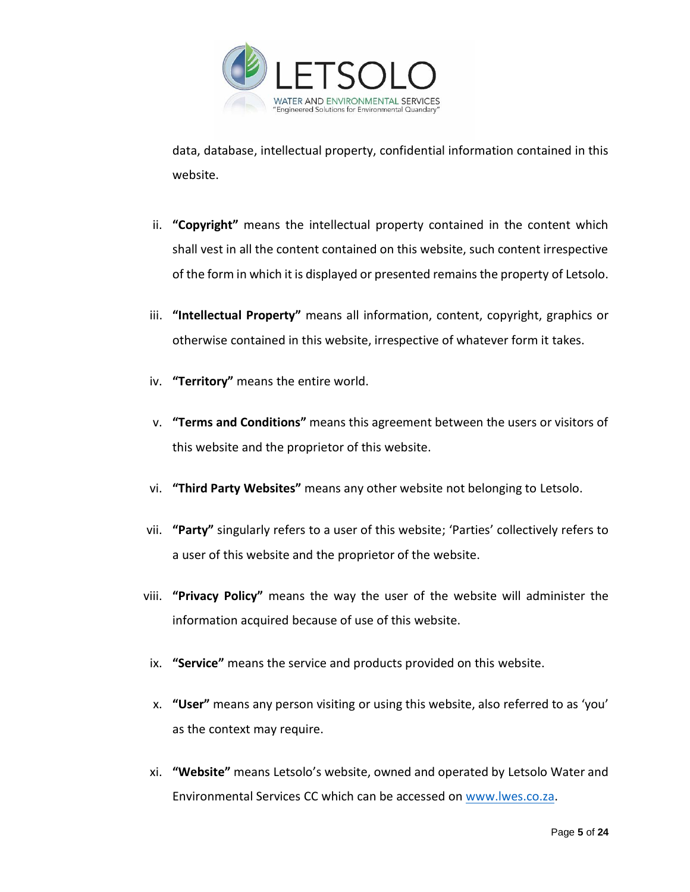

data, database, intellectual property, confidential information contained in this website.

- ii. **"Copyright"** means the intellectual property contained in the content which shall vest in all the content contained on this website, such content irrespective of the form in which it is displayed or presented remains the property of Letsolo.
- iii. **"Intellectual Property"** means all information, content, copyright, graphics or otherwise contained in this website, irrespective of whatever form it takes.
- iv. **"Territory"** means the entire world.
- v. **"Terms and Conditions"** means this agreement between the users or visitors of this website and the proprietor of this website.
- vi. **"Third Party Websites"** means any other website not belonging to Letsolo.
- vii. **"Party"** singularly refers to a user of this website; 'Parties' collectively refers to a user of this website and the proprietor of the website.
- viii. **"Privacy Policy"** means the way the user of the website will administer the information acquired because of use of this website.
- ix. **"Service"** means the service and products provided on this website.
- x. **"User"** means any person visiting or using this website, also referred to as 'you' as the context may require.
- xi. **"Website"** means Letsolo's website, owned and operated by Letsolo Water and Environmental Services CC which can be accessed on [www.lwes.co.za.](http://www.lwes.co.za/)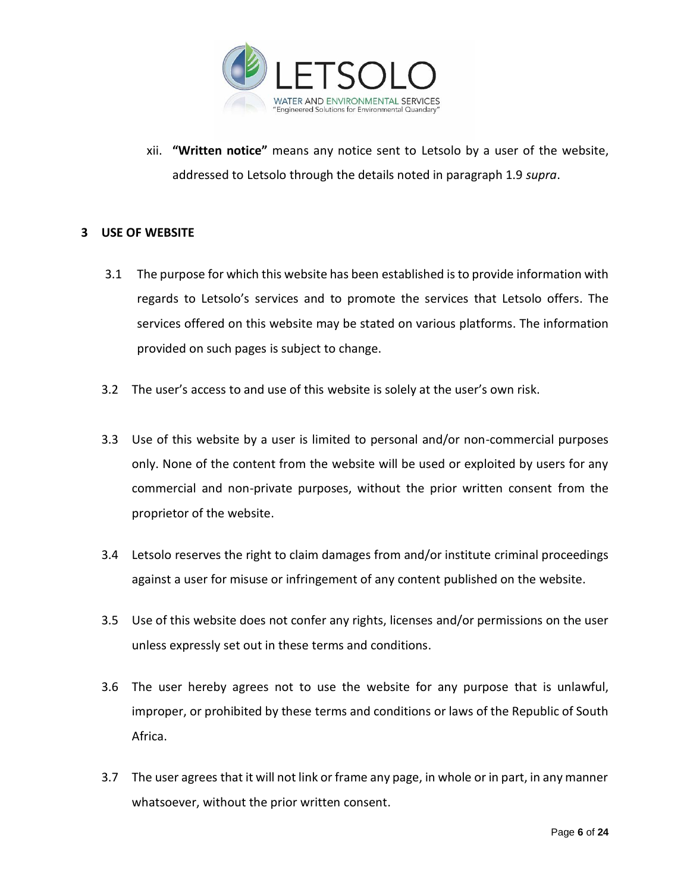

xii. **"Written notice"** means any notice sent to Letsolo by a user of the website, addressed to Letsolo through the details noted in paragraph 1.9 *supra*.

# **3 USE OF WEBSITE**

- 3.1 The purpose for which this website has been established is to provide information with regards to Letsolo's services and to promote the services that Letsolo offers. The services offered on this website may be stated on various platforms. The information provided on such pages is subject to change.
- 3.2 The user's access to and use of this website is solely at the user's own risk.
- 3.3 Use of this website by a user is limited to personal and/or non-commercial purposes only. None of the content from the website will be used or exploited by users for any commercial and non-private purposes, without the prior written consent from the proprietor of the website.
- 3.4 Letsolo reserves the right to claim damages from and/or institute criminal proceedings against a user for misuse or infringement of any content published on the website.
- 3.5 Use of this website does not confer any rights, licenses and/or permissions on the user unless expressly set out in these terms and conditions.
- 3.6 The user hereby agrees not to use the website for any purpose that is unlawful, improper, or prohibited by these terms and conditions or laws of the Republic of South Africa.
- 3.7 The user agrees that it will not link or frame any page, in whole or in part, in any manner whatsoever, without the prior written consent.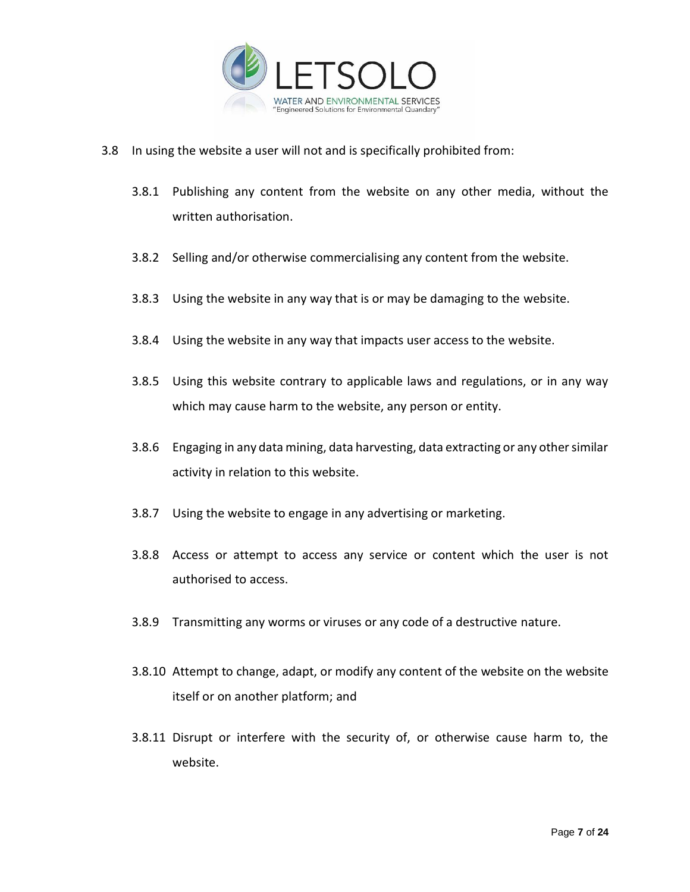

- 3.8 In using the website a user will not and is specifically prohibited from:
	- 3.8.1 Publishing any content from the website on any other media, without the written authorisation.
	- 3.8.2 Selling and/or otherwise commercialising any content from the website.
	- 3.8.3 Using the website in any way that is or may be damaging to the website.
	- 3.8.4 Using the website in any way that impacts user access to the website.
	- 3.8.5 Using this website contrary to applicable laws and regulations, or in any way which may cause harm to the website, any person or entity.
	- 3.8.6 Engaging in any data mining, data harvesting, data extracting or any other similar activity in relation to this website.
	- 3.8.7 Using the website to engage in any advertising or marketing.
	- 3.8.8 Access or attempt to access any service or content which the user is not authorised to access.
	- 3.8.9 Transmitting any worms or viruses or any code of a destructive nature.
	- 3.8.10 Attempt to change, adapt, or modify any content of the website on the website itself or on another platform; and
	- 3.8.11 Disrupt or interfere with the security of, or otherwise cause harm to, the website.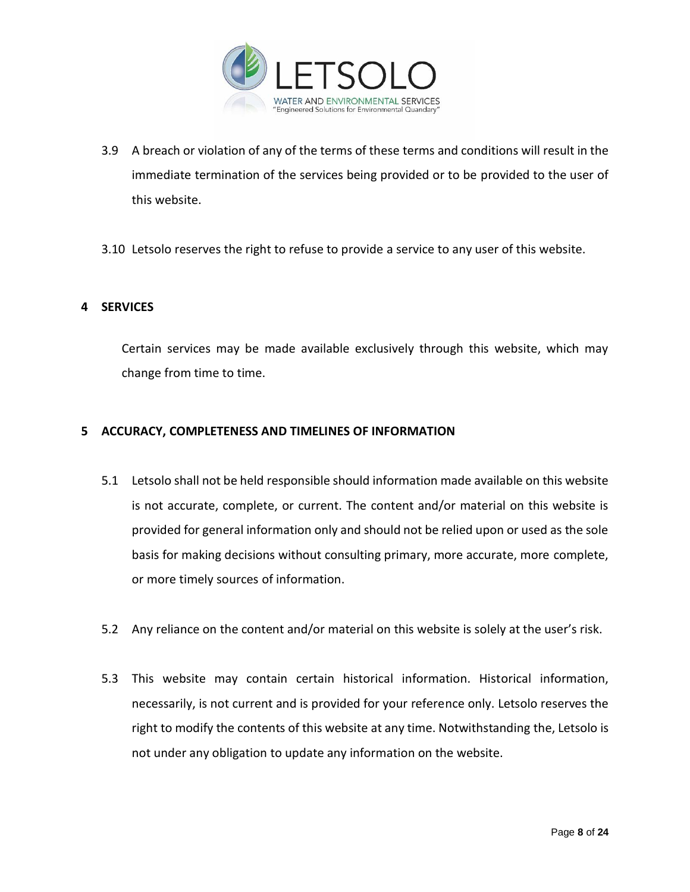

- 3.9 A breach or violation of any of the terms of these terms and conditions will result in the immediate termination of the services being provided or to be provided to the user of this website.
- 3.10 Letsolo reserves the right to refuse to provide a service to any user of this website.

## **4 SERVICES**

Certain services may be made available exclusively through this website, which may change from time to time.

## **5 ACCURACY, COMPLETENESS AND TIMELINES OF INFORMATION**

- 5.1 Letsolo shall not be held responsible should information made available on this website is not accurate, complete, or current. The content and/or material on this website is provided for general information only and should not be relied upon or used as the sole basis for making decisions without consulting primary, more accurate, more complete, or more timely sources of information.
- 5.2 Any reliance on the content and/or material on this website is solely at the user's risk.
- 5.3 This website may contain certain historical information. Historical information, necessarily, is not current and is provided for your reference only. Letsolo reserves the right to modify the contents of this website at any time. Notwithstanding the, Letsolo is not under any obligation to update any information on the website.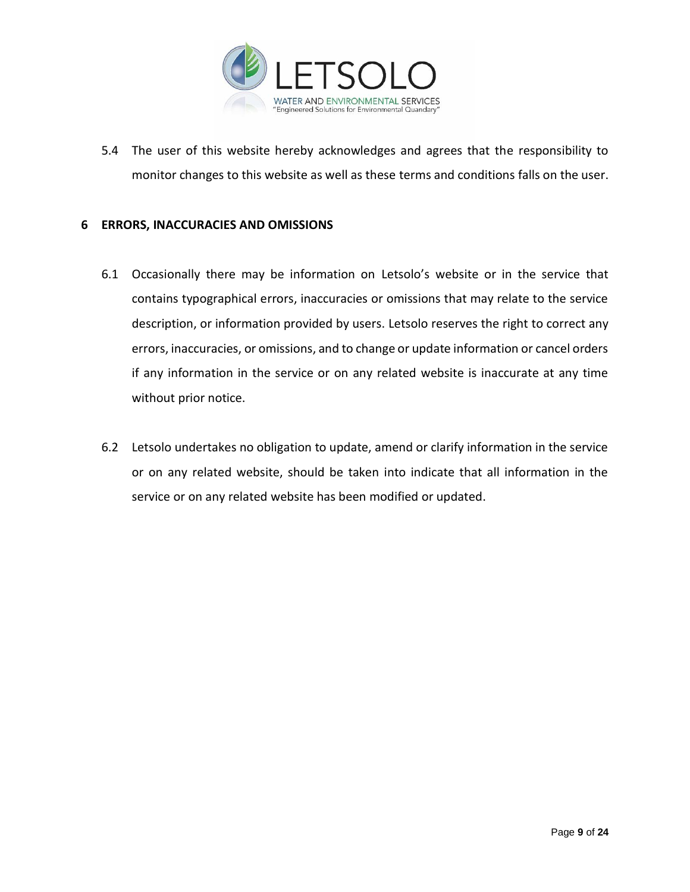

5.4 The user of this website hereby acknowledges and agrees that the responsibility to monitor changes to this website as well as these terms and conditions falls on the user.

## **6 ERRORS, INACCURACIES AND OMISSIONS**

- 6.1 Occasionally there may be information on Letsolo's website or in the service that contains typographical errors, inaccuracies or omissions that may relate to the service description, or information provided by users. Letsolo reserves the right to correct any errors, inaccuracies, or omissions, and to change or update information or cancel orders if any information in the service or on any related website is inaccurate at any time without prior notice.
- 6.2 Letsolo undertakes no obligation to update, amend or clarify information in the service or on any related website, should be taken into indicate that all information in the service or on any related website has been modified or updated.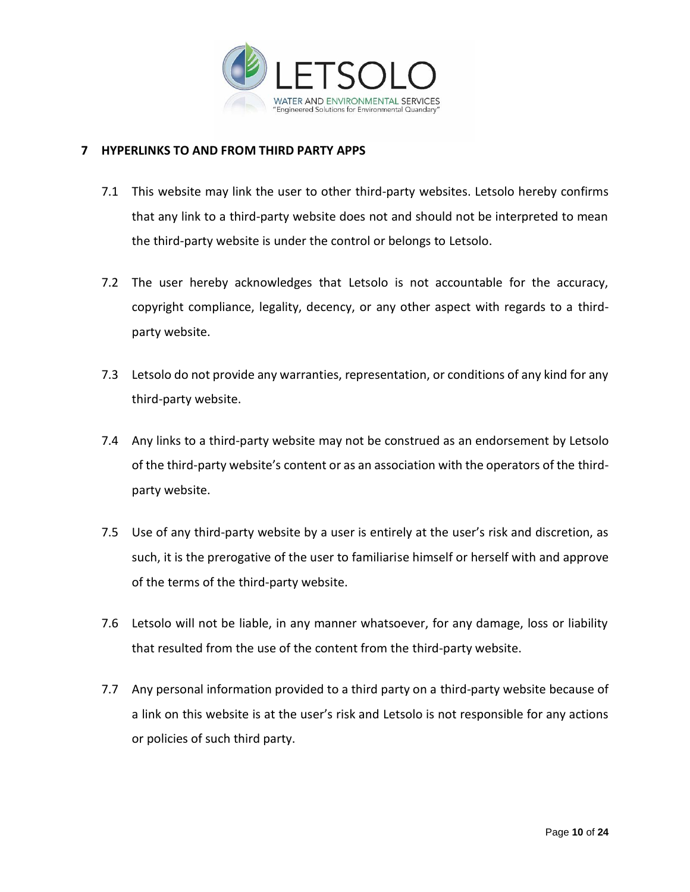

# **7 HYPERLINKS TO AND FROM THIRD PARTY APPS**

- 7.1 This website may link the user to other third-party websites. Letsolo hereby confirms that any link to a third-party website does not and should not be interpreted to mean the third-party website is under the control or belongs to Letsolo.
- 7.2 The user hereby acknowledges that Letsolo is not accountable for the accuracy, copyright compliance, legality, decency, or any other aspect with regards to a thirdparty website.
- 7.3 Letsolo do not provide any warranties, representation, or conditions of any kind for any third-party website.
- 7.4 Any links to a third-party website may not be construed as an endorsement by Letsolo of the third-party website's content or as an association with the operators of the thirdparty website.
- 7.5 Use of any third-party website by a user is entirely at the user's risk and discretion, as such, it is the prerogative of the user to familiarise himself or herself with and approve of the terms of the third-party website.
- 7.6 Letsolo will not be liable, in any manner whatsoever, for any damage, loss or liability that resulted from the use of the content from the third-party website.
- 7.7 Any personal information provided to a third party on a third-party website because of a link on this website is at the user's risk and Letsolo is not responsible for any actions or policies of such third party.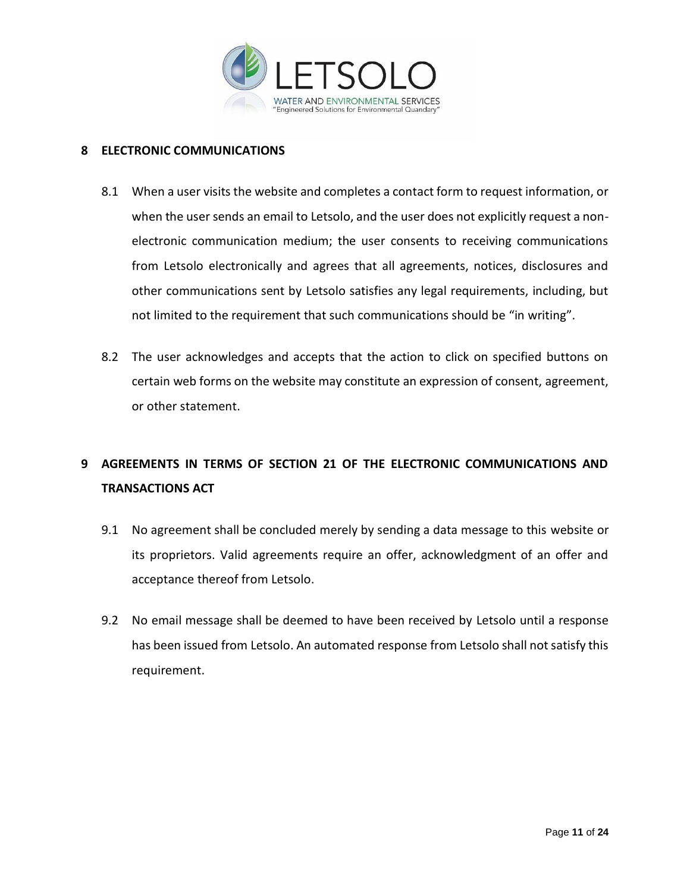

## **8 ELECTRONIC COMMUNICATIONS**

- 8.1 When a user visits the website and completes a contact form to request information, or when the user sends an email to Letsolo, and the user does not explicitly request a nonelectronic communication medium; the user consents to receiving communications from Letsolo electronically and agrees that all agreements, notices, disclosures and other communications sent by Letsolo satisfies any legal requirements, including, but not limited to the requirement that such communications should be "in writing".
- 8.2 The user acknowledges and accepts that the action to click on specified buttons on certain web forms on the website may constitute an expression of consent, agreement, or other statement.

# **9 AGREEMENTS IN TERMS OF SECTION 21 OF THE ELECTRONIC COMMUNICATIONS AND TRANSACTIONS ACT**

- 9.1 No agreement shall be concluded merely by sending a data message to this website or its proprietors. Valid agreements require an offer, acknowledgment of an offer and acceptance thereof from Letsolo.
- 9.2 No email message shall be deemed to have been received by Letsolo until a response has been issued from Letsolo. An automated response from Letsolo shall not satisfy this requirement.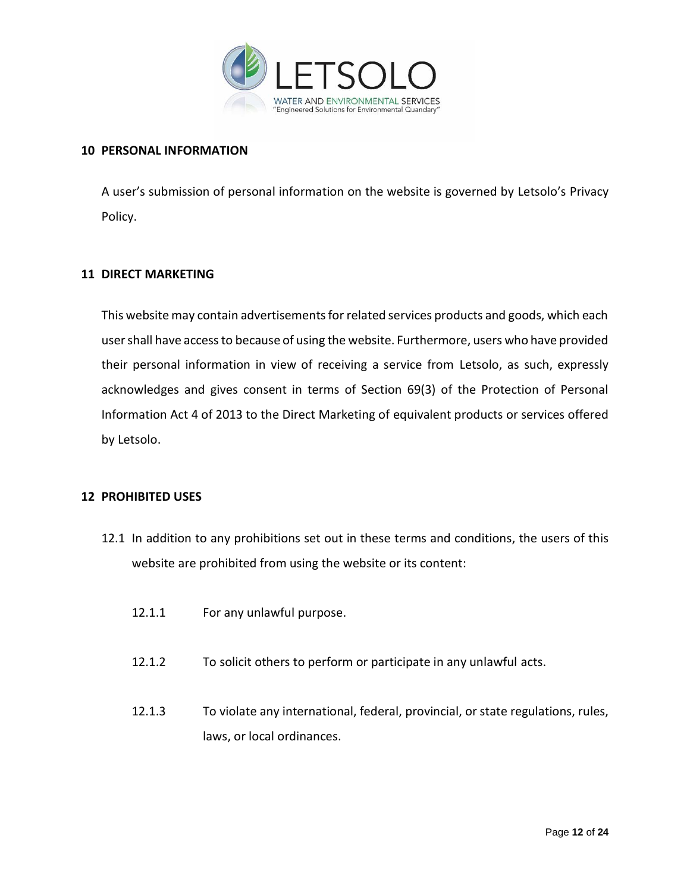

# **10 PERSONAL INFORMATION**

A user's submission of personal information on the website is governed by Letsolo's Privacy Policy.

## **11 DIRECT MARKETING**

This website may contain advertisements for related services products and goods, which each user shall have access to because of using the website. Furthermore, users who have provided their personal information in view of receiving a service from Letsolo, as such, expressly acknowledges and gives consent in terms of Section 69(3) of the Protection of Personal Information Act 4 of 2013 to the Direct Marketing of equivalent products or services offered by Letsolo.

## **12 PROHIBITED USES**

- 12.1 In addition to any prohibitions set out in these terms and conditions, the users of this website are prohibited from using the website or its content:
	- 12.1.1 For any unlawful purpose.
	- 12.1.2 To solicit others to perform or participate in any unlawful acts.
	- 12.1.3 To violate any international, federal, provincial, or state regulations, rules, laws, or local ordinances.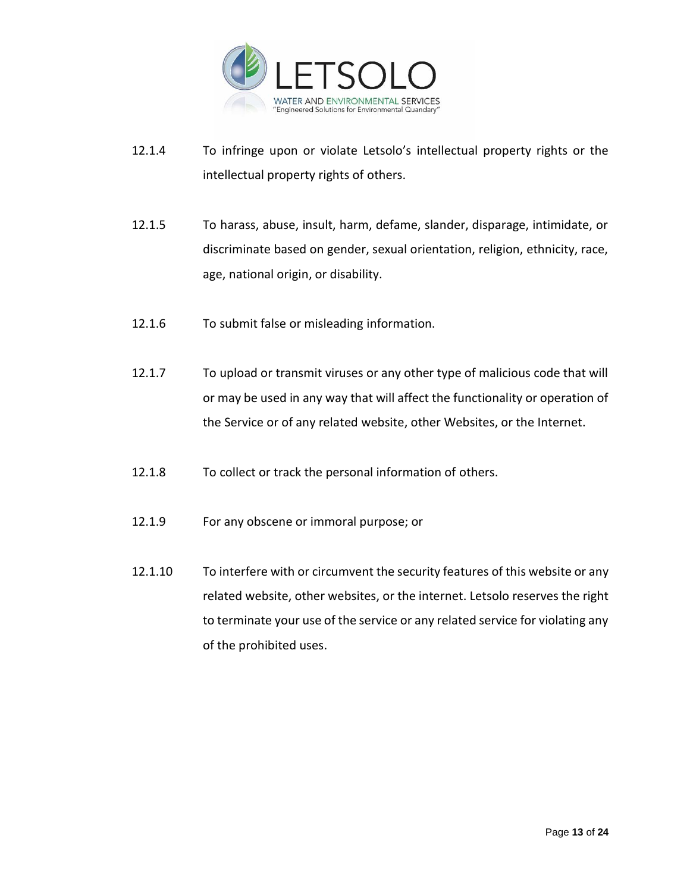

- 12.1.4 To infringe upon or violate Letsolo's intellectual property rights or the intellectual property rights of others.
- 12.1.5 To harass, abuse, insult, harm, defame, slander, disparage, intimidate, or discriminate based on gender, sexual orientation, religion, ethnicity, race, age, national origin, or disability.
- 12.1.6 To submit false or misleading information.
- 12.1.7 To upload or transmit viruses or any other type of malicious code that will or may be used in any way that will affect the functionality or operation of the Service or of any related website, other Websites, or the Internet.
- 12.1.8 To collect or track the personal information of others.
- 12.1.9 For any obscene or immoral purpose; or
- 12.1.10 To interfere with or circumvent the security features of this website or any related website, other websites, or the internet. Letsolo reserves the right to terminate your use of the service or any related service for violating any of the prohibited uses.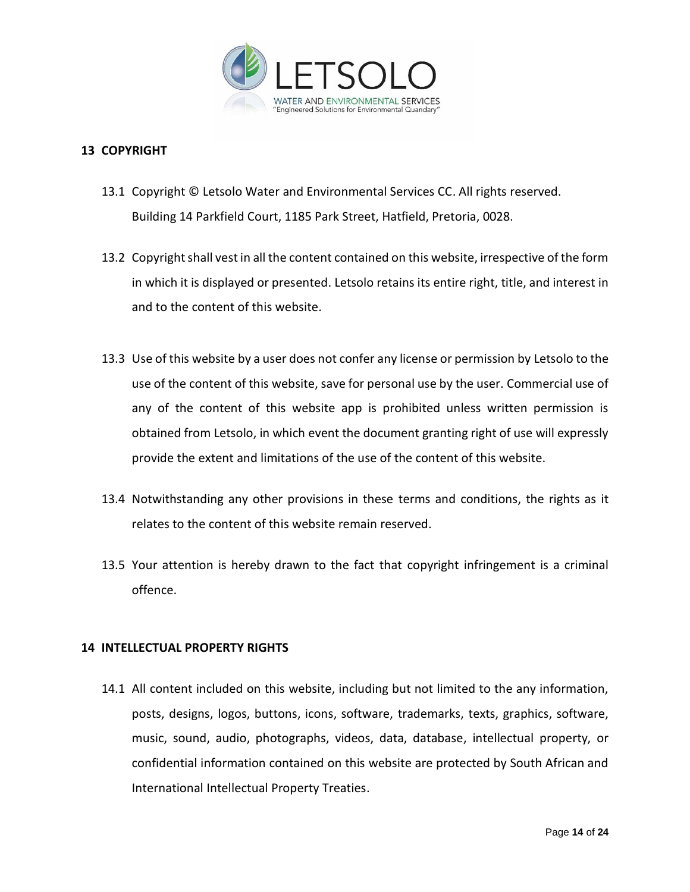

# **13 COPYRIGHT**

- 13.1 Copyright © Letsolo Water and Environmental Services CC. All rights reserved. Building 14 Parkfield Court, 1185 Park Street, Hatfield, Pretoria, 0028.
- 13.2 Copyright shall vest in all the content contained on this website, irrespective of the form in which it is displayed or presented. Letsolo retains its entire right, title, and interest in and to the content of this website.
- 13.3 Use of this website by a user does not confer any license or permission by Letsolo to the use of the content of this website, save for personal use by the user. Commercial use of any of the content of this website app is prohibited unless written permission is obtained from Letsolo, in which event the document granting right of use will expressly provide the extent and limitations of the use of the content of this website.
- 13.4 Notwithstanding any other provisions in these terms and conditions, the rights as it relates to the content of this website remain reserved.
- 13.5 Your attention is hereby drawn to the fact that copyright infringement is a criminal offence.

## **14 INTELLECTUAL PROPERTY RIGHTS**

14.1 All content included on this website, including but not limited to the any information, posts, designs, logos, buttons, icons, software, trademarks, texts, graphics, software, music, sound, audio, photographs, videos, data, database, intellectual property, or confidential information contained on this website are protected by South African and International Intellectual Property Treaties.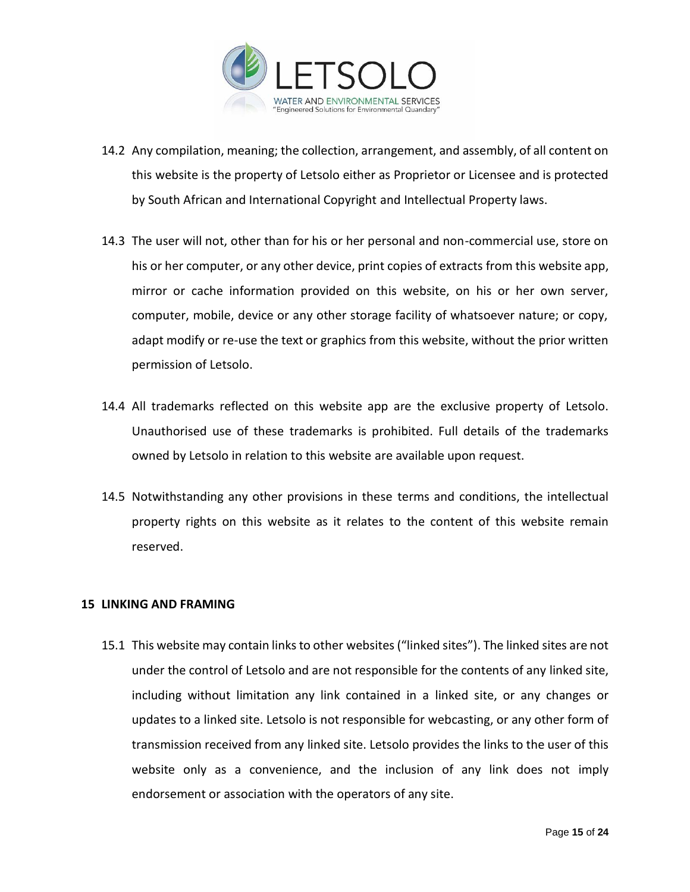

- 14.2 Any compilation, meaning; the collection, arrangement, and assembly, of all content on this website is the property of Letsolo either as Proprietor or Licensee and is protected by South African and International Copyright and Intellectual Property laws.
- 14.3 The user will not, other than for his or her personal and non-commercial use, store on his or her computer, or any other device, print copies of extracts from this website app, mirror or cache information provided on this website, on his or her own server, computer, mobile, device or any other storage facility of whatsoever nature; or copy, adapt modify or re-use the text or graphics from this website, without the prior written permission of Letsolo.
- 14.4 All trademarks reflected on this website app are the exclusive property of Letsolo. Unauthorised use of these trademarks is prohibited. Full details of the trademarks owned by Letsolo in relation to this website are available upon request.
- 14.5 Notwithstanding any other provisions in these terms and conditions, the intellectual property rights on this website as it relates to the content of this website remain reserved.

## **15 LINKING AND FRAMING**

15.1 This website may contain links to other websites("linked sites"). The linked sites are not under the control of Letsolo and are not responsible for the contents of any linked site, including without limitation any link contained in a linked site, or any changes or updates to a linked site. Letsolo is not responsible for webcasting, or any other form of transmission received from any linked site. Letsolo provides the links to the user of this website only as a convenience, and the inclusion of any link does not imply endorsement or association with the operators of any site.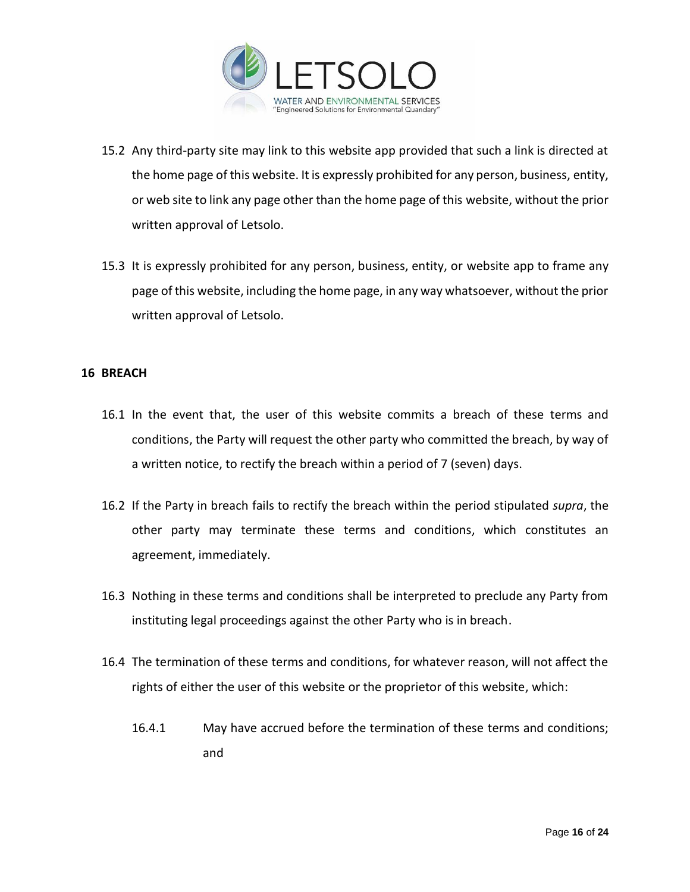

- 15.2 Any third-party site may link to this website app provided that such a link is directed at the home page of this website. It is expressly prohibited for any person, business, entity, or web site to link any page other than the home page of this website, without the prior written approval of Letsolo.
- 15.3 It is expressly prohibited for any person, business, entity, or website app to frame any page of this website, including the home page, in any way whatsoever, without the prior written approval of Letsolo.

## **16 BREACH**

- 16.1 In the event that, the user of this website commits a breach of these terms and conditions, the Party will request the other party who committed the breach, by way of a written notice, to rectify the breach within a period of 7 (seven) days.
- 16.2 If the Party in breach fails to rectify the breach within the period stipulated *supra*, the other party may terminate these terms and conditions, which constitutes an agreement, immediately.
- 16.3 Nothing in these terms and conditions shall be interpreted to preclude any Party from instituting legal proceedings against the other Party who is in breach.
- 16.4 The termination of these terms and conditions, for whatever reason, will not affect the rights of either the user of this website or the proprietor of this website, which:
	- 16.4.1 May have accrued before the termination of these terms and conditions; and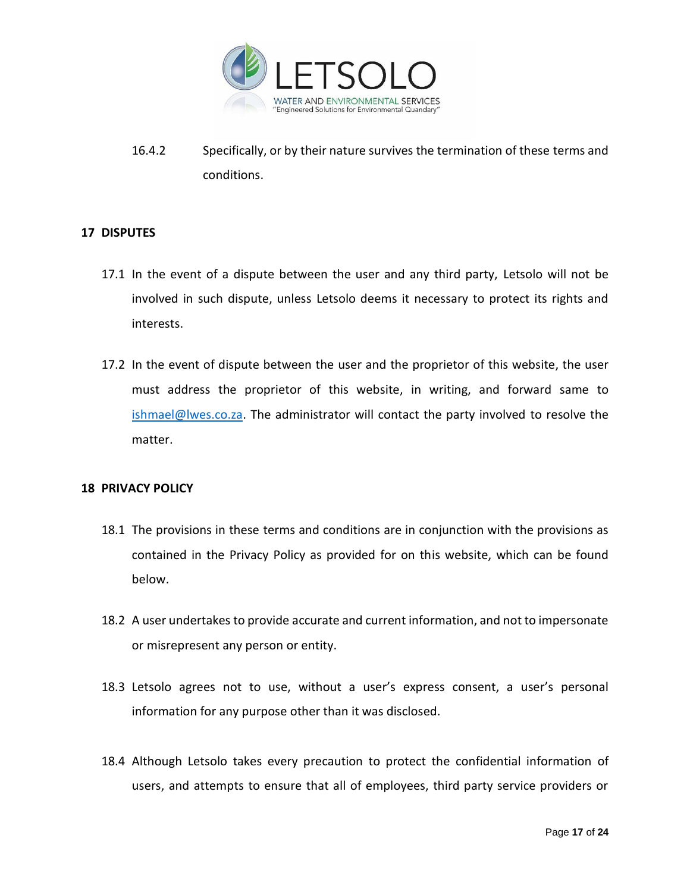

16.4.2 Specifically, or by their nature survives the termination of these terms and conditions.

# **17 DISPUTES**

- 17.1 In the event of a dispute between the user and any third party, Letsolo will not be involved in such dispute, unless Letsolo deems it necessary to protect its rights and interests.
- 17.2 In the event of dispute between the user and the proprietor of this website, the user must address the proprietor of this website, in writing, and forward same to [ishmael@lwes.co.za.](mailto:ishmael@lwes.co.za) The administrator will contact the party involved to resolve the matter.

## **18 PRIVACY POLICY**

- 18.1 The provisions in these terms and conditions are in conjunction with the provisions as contained in the Privacy Policy as provided for on this website, which can be found below.
- 18.2 A user undertakes to provide accurate and current information, and not to impersonate or misrepresent any person or entity.
- 18.3 Letsolo agrees not to use, without a user's express consent, a user's personal information for any purpose other than it was disclosed.
- 18.4 Although Letsolo takes every precaution to protect the confidential information of users, and attempts to ensure that all of employees, third party service providers or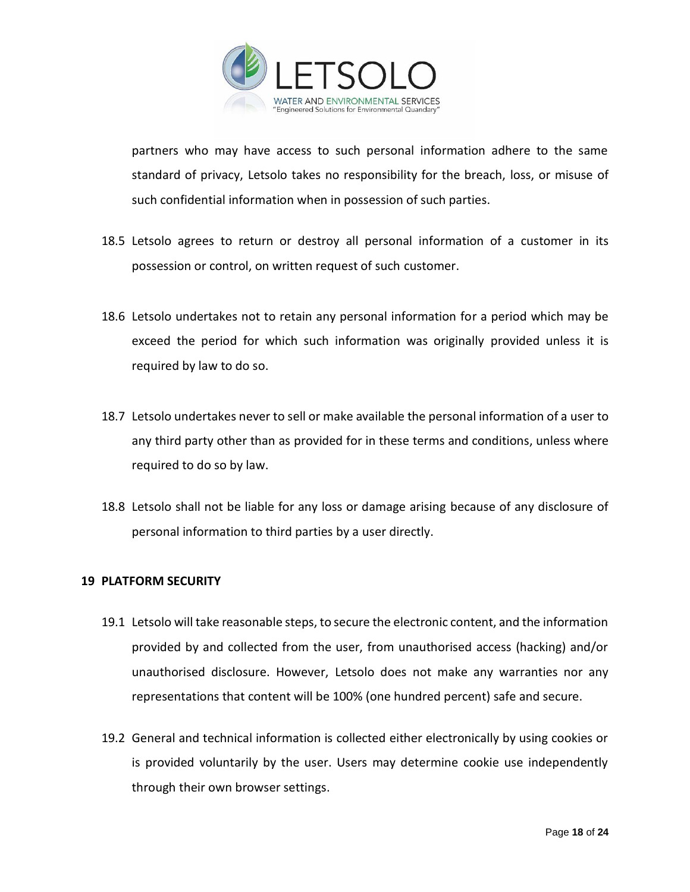

partners who may have access to such personal information adhere to the same standard of privacy, Letsolo takes no responsibility for the breach, loss, or misuse of such confidential information when in possession of such parties.

- 18.5 Letsolo agrees to return or destroy all personal information of a customer in its possession or control, on written request of such customer.
- 18.6 Letsolo undertakes not to retain any personal information for a period which may be exceed the period for which such information was originally provided unless it is required by law to do so.
- 18.7 Letsolo undertakes never to sell or make available the personal information of a user to any third party other than as provided for in these terms and conditions, unless where required to do so by law.
- 18.8 Letsolo shall not be liable for any loss or damage arising because of any disclosure of personal information to third parties by a user directly.

## **19 PLATFORM SECURITY**

- 19.1 Letsolo will take reasonable steps, to secure the electronic content, and the information provided by and collected from the user, from unauthorised access (hacking) and/or unauthorised disclosure. However, Letsolo does not make any warranties nor any representations that content will be 100% (one hundred percent) safe and secure.
- 19.2 General and technical information is collected either electronically by using cookies or is provided voluntarily by the user. Users may determine cookie use independently through their own browser settings.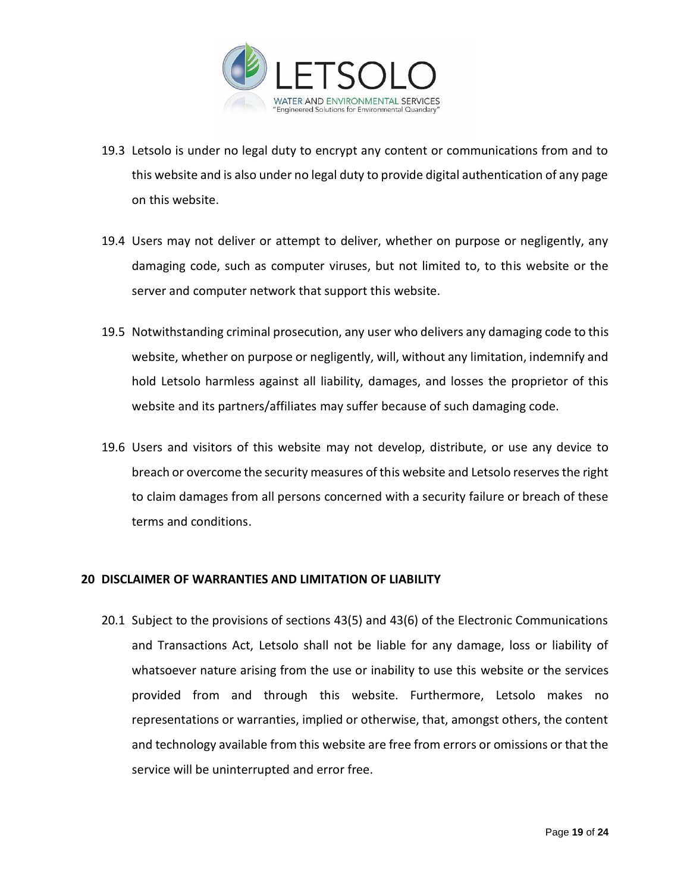

- 19.3 Letsolo is under no legal duty to encrypt any content or communications from and to this website and is also under no legal duty to provide digital authentication of any page on this website.
- 19.4 Users may not deliver or attempt to deliver, whether on purpose or negligently, any damaging code, such as computer viruses, but not limited to, to this website or the server and computer network that support this website.
- 19.5 Notwithstanding criminal prosecution, any user who delivers any damaging code to this website, whether on purpose or negligently, will, without any limitation, indemnify and hold Letsolo harmless against all liability, damages, and losses the proprietor of this website and its partners/affiliates may suffer because of such damaging code.
- 19.6 Users and visitors of this website may not develop, distribute, or use any device to breach or overcome the security measures of this website and Letsolo reservesthe right to claim damages from all persons concerned with a security failure or breach of these terms and conditions.

## **20 DISCLAIMER OF WARRANTIES AND LIMITATION OF LIABILITY**

20.1 Subject to the provisions of sections 43(5) and 43(6) of the Electronic Communications and Transactions Act, Letsolo shall not be liable for any damage, loss or liability of whatsoever nature arising from the use or inability to use this website or the services provided from and through this website. Furthermore, Letsolo makes no representations or warranties, implied or otherwise, that, amongst others, the content and technology available from this website are free from errors or omissions or that the service will be uninterrupted and error free.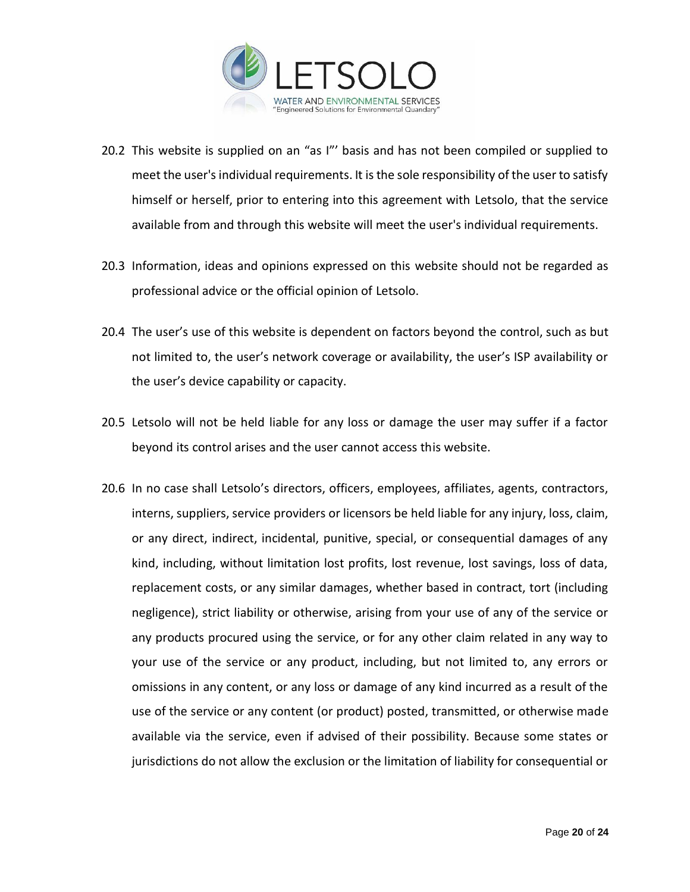

- 20.2 This website is supplied on an "as I"' basis and has not been compiled or supplied to meet the user's individual requirements. It is the sole responsibility of the user to satisfy himself or herself, prior to entering into this agreement with Letsolo, that the service available from and through this website will meet the user's individual requirements.
- 20.3 Information, ideas and opinions expressed on this website should not be regarded as professional advice or the official opinion of Letsolo.
- 20.4 The user's use of this website is dependent on factors beyond the control, such as but not limited to, the user's network coverage or availability, the user's ISP availability or the user's device capability or capacity.
- 20.5 Letsolo will not be held liable for any loss or damage the user may suffer if a factor beyond its control arises and the user cannot access this website.
- 20.6 In no case shall Letsolo's directors, officers, employees, affiliates, agents, contractors, interns, suppliers, service providers or licensors be held liable for any injury, loss, claim, or any direct, indirect, incidental, punitive, special, or consequential damages of any kind, including, without limitation lost profits, lost revenue, lost savings, loss of data, replacement costs, or any similar damages, whether based in contract, tort (including negligence), strict liability or otherwise, arising from your use of any of the service or any products procured using the service, or for any other claim related in any way to your use of the service or any product, including, but not limited to, any errors or omissions in any content, or any loss or damage of any kind incurred as a result of the use of the service or any content (or product) posted, transmitted, or otherwise made available via the service, even if advised of their possibility. Because some states or jurisdictions do not allow the exclusion or the limitation of liability for consequential or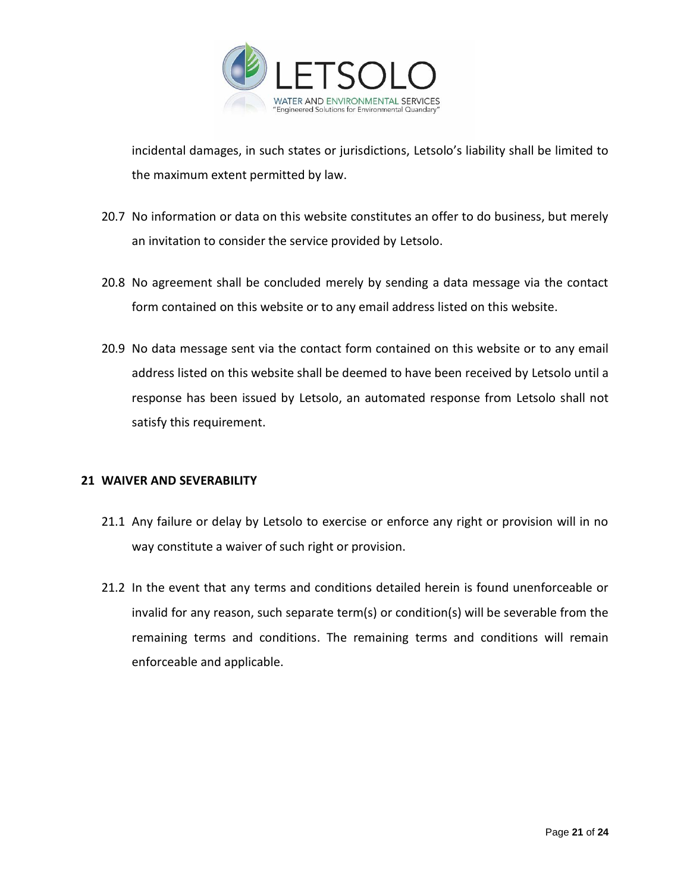

incidental damages, in such states or jurisdictions, Letsolo's liability shall be limited to the maximum extent permitted by law.

- 20.7 No information or data on this website constitutes an offer to do business, but merely an invitation to consider the service provided by Letsolo.
- 20.8 No agreement shall be concluded merely by sending a data message via the contact form contained on this website or to any email address listed on this website.
- 20.9 No data message sent via the contact form contained on this website or to any email address listed on this website shall be deemed to have been received by Letsolo until a response has been issued by Letsolo, an automated response from Letsolo shall not satisfy this requirement.

## **21 WAIVER AND SEVERABILITY**

- 21.1 Any failure or delay by Letsolo to exercise or enforce any right or provision will in no way constitute a waiver of such right or provision.
- 21.2 In the event that any terms and conditions detailed herein is found unenforceable or invalid for any reason, such separate term(s) or condition(s) will be severable from the remaining terms and conditions. The remaining terms and conditions will remain enforceable and applicable.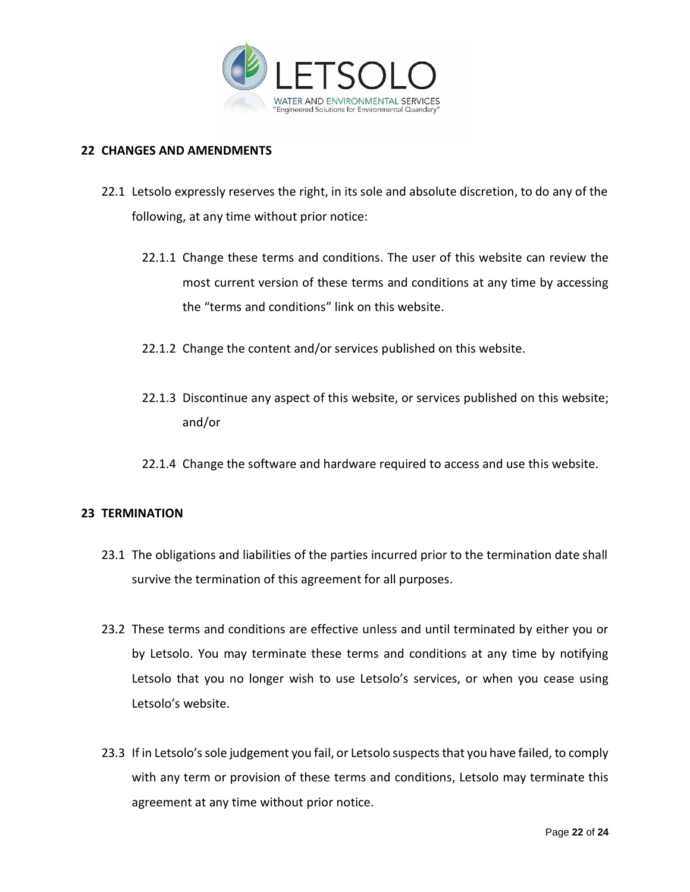

#### **22 CHANGES AND AMENDMENTS**

- 22.1 Letsolo expressly reserves the right, in its sole and absolute discretion, to do any of the following, at any time without prior notice:
	- 22.1.1 Change these terms and conditions. The user of this website can review the most current version of these terms and conditions at any time by accessing the "terms and conditions" link on this website.
	- 22.1.2 Change the content and/or services published on this website.
	- 22.1.3 Discontinue any aspect of this website, or services published on this website; and/or
	- 22.1.4 Change the software and hardware required to access and use this website.

## **23 TERMINATION**

- 23.1 The obligations and liabilities of the parties incurred prior to the termination date shall survive the termination of this agreement for all purposes.
- 23.2 These terms and conditions are effective unless and until terminated by either you or by Letsolo. You may terminate these terms and conditions at any time by notifying Letsolo that you no longer wish to use Letsolo's services, or when you cease using Letsolo's website.
- 23.3 If in Letsolo's sole judgement you fail, or Letsolo suspects that you have failed, to comply with any term or provision of these terms and conditions, Letsolo may terminate this agreement at any time without prior notice.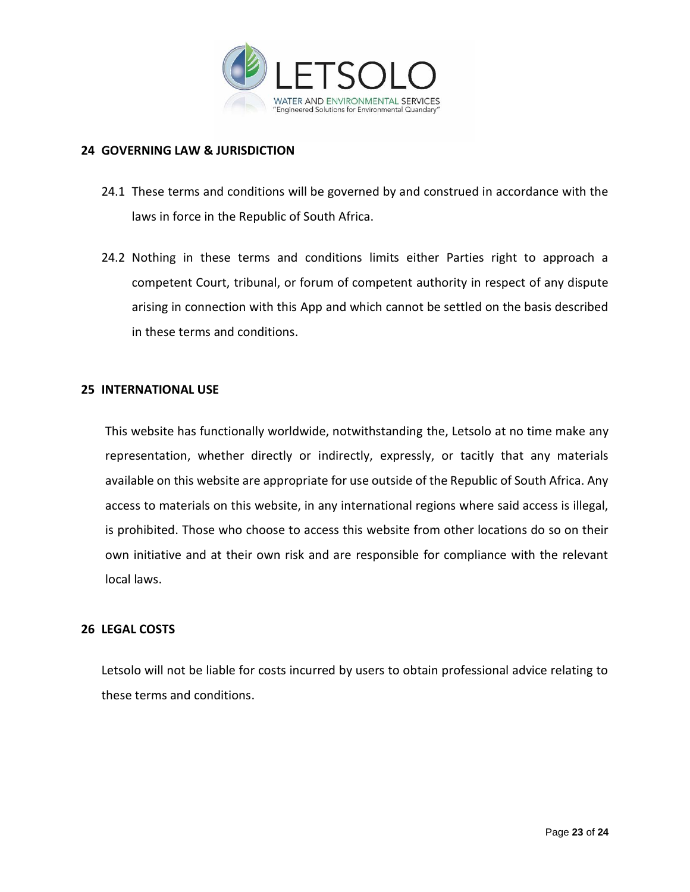

## **24 GOVERNING LAW & JURISDICTION**

- 24.1 These terms and conditions will be governed by and construed in accordance with the laws in force in the Republic of South Africa.
- 24.2 Nothing in these terms and conditions limits either Parties right to approach a competent Court, tribunal, or forum of competent authority in respect of any dispute arising in connection with this App and which cannot be settled on the basis described in these terms and conditions.

#### **25 INTERNATIONAL USE**

This website has functionally worldwide, notwithstanding the, Letsolo at no time make any representation, whether directly or indirectly, expressly, or tacitly that any materials available on this website are appropriate for use outside of the Republic of South Africa. Any access to materials on this website, in any international regions where said access is illegal, is prohibited. Those who choose to access this website from other locations do so on their own initiative and at their own risk and are responsible for compliance with the relevant local laws.

## **26 LEGAL COSTS**

Letsolo will not be liable for costs incurred by users to obtain professional advice relating to these terms and conditions.